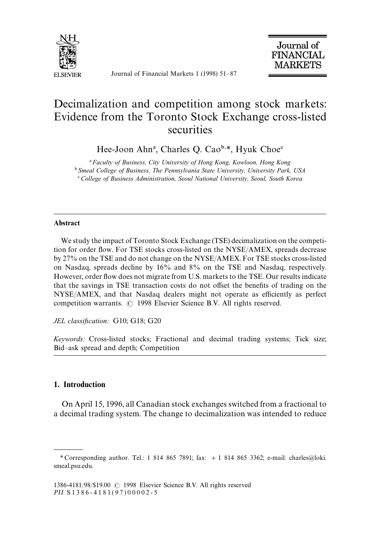

Journal of Financial Markets 1 (1998) 51*—*87

# Decimalization and competition among stock markets: Evidence from the Toronto Stock Exchange cross-listed securities

Hee-Joon Ahn<sup>a</sup>, Charles O. Cao<sup>b,\*</sup>, Hyuk Choe<sup>c</sup>

! *Faculty of Business, City University of Hong Kong, Kowloon, Hong Kong* " *Smeal College of Business, The Pennsylvania State University, University Park, USA* # *College of Business Administration, Seoul National University, Seoul, South Korea*

# Abstract

We study the impact of Toronto Stock Exchange (TSE) decimalization on the competition for order flow. For TSE stocks cross-listed on the NYSE/AMEX, spreads decrease by 27% on the TSE and do not change on the NYSE/AMEX. For TSE stocks cross-listed on Nasdaq, spreads decline by 16% and 8% on the TSE and Nasdaq, respectively. However, order flow does not migrate from U.S. markets to the TSE. Our results indicate that the savings in TSE transaction costs do not offset the benefits of trading on the NYSE/AMEX, and that Nasdaq dealers might not operate as efficiently as perfect competition warrants.  $\odot$  1998 Elsevier Science B.V. All rights reserved.

*JEL classification:* G10; G18; G20

*Keywords:* Cross-listed stocks; Fractional and decimal trading systems; Tick size; Bid*—*ask spread and depth; Competition

# 1. Introduction

On April 15, 1996, all Canadian stock exchanges switched from a fractional to a decimal trading system. The change to decimalization was intended to reduce

*<sup>\*</sup>* Corresponding author. Tel.: 1 814 865 7891; fax: #1 814 865 3362; e-mail: charles@loki. smeal.psu.edu.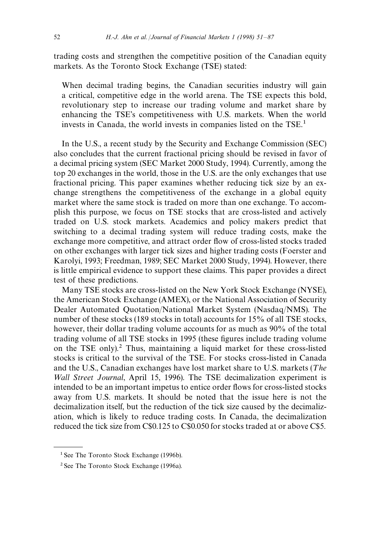trading costs and strengthen the competitive position of the Canadian equity markets. As the Toronto Stock Exchange (TSE) stated:

When decimal trading begins, the Canadian securities industry will gain a critical, competitive edge in the world arena. The TSE expects this bold, revolutionary step to increase our trading volume and market share by enhancing the TSE's competitiveness with U.S. markets. When the world invests in Canada, the world invests in companies listed on the TSE.1

In the U.S., a recent study by the Security and Exchange Commission (SEC) also concludes that the current fractional pricing should be revised in favor of a decimal pricing system (SEC Market 2000 Study, 1994). Currently, among the top 20 exchanges in the world, those in the U.S. are the only exchanges that use fractional pricing. This paper examines whether reducing tick size by an exchange strengthens the competitiveness of the exchange in a global equity market where the same stock is traded on more than one exchange. To accomplish this purpose, we focus on TSE stocks that are cross-listed and actively traded on U.S. stock markets. Academics and policy makers predict that switching to a decimal trading system will reduce trading costs, make the exchange more competitive, and attract order flow of cross-listed stocks traded on other exchanges with larger tick sizes and higher trading costs (Foerster and Karolyi, 1993; Freedman, 1989; SEC Market 2000 Study, 1994). However, there is little empirical evidence to support these claims. This paper provides a direct test of these predictions.

Many TSE stocks are cross-listed on the New York Stock Exchange (NYSE), the American Stock Exchange (AMEX), or the National Association of Security Dealer Automated Quotation/National Market System (Nasdaq/NMS). The number of these stocks (189 stocks in total) accounts for 15% of all TSE stocks. however, their dollar trading volume accounts for as much as 90% of the total trading volume of all TSE stocks in 1995 (these figures include trading volume on the TSE only).<sup>2</sup> Thus, maintaining a liquid market for these cross-listed stocks is critical to the survival of the TSE. For stocks cross-listed in Canada and the U.S., Canadian exchanges have lost market share to U.S. markets (*The* ¼*all Street Journal*, April 15, 1996). The TSE decimalization experiment is intended to be an important impetus to entice order flows for cross-listed stocks away from U.S. markets. It should be noted that the issue here is not the decimalization itself, but the reduction of the tick size caused by the decimalization, which is likely to reduce trading costs. In Canada, the decimalization reduced the tick size from C\$0.125 to C\$0.050 for stocks traded at or above C\$5.

<sup>&</sup>lt;sup>1</sup> See The Toronto Stock Exchange (1996b).

<sup>2</sup> See The Toronto Stock Exchange (1996a).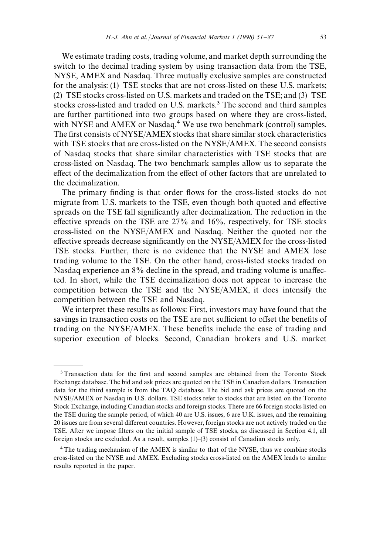We estimate trading costs, trading volume, and market depth surrounding the switch to the decimal trading system by using transaction data from the TSE, NYSE, AMEX and Nasdaq. Three mutually exclusive samples are constructed for the analysis: (1) TSE stocks that are not cross-listed on these U.S. markets; (2) TSE stocks cross-listed on U.S. markets and traded on the TSE; and (3) TSE stocks cross-listed and traded on U.S. markets.<sup>3</sup> The second and third samples are further partitioned into two groups based on where they are cross-listed, with NYSE and AMEX or Nasdaq.<sup>4</sup> We use two benchmark (control) samples. The first consists of NYSE/AMEX stocks that share similar stock characteristics with TSE stocks that are cross-listed on the NYSE/AMEX. The second consists of Nasdaq stocks that share similar characteristics with TSE stocks that are cross-listed on Nasdaq. The two benchmark samples allow us to separate the effect of the decimalization from the effect of other factors that are unrelated to the decimalization.

The primary finding is that order flows for the cross-listed stocks do not migrate from U.S. markets to the TSE, even though both quoted and effective spreads on the TSE fall significantly after decimalization. The reduction in the effective spreads on the TSE are 27% and 16%, respectively, for TSE stocks cross-listed on the NYSE/AMEX and Nasdaq. Neither the quoted nor the effective spreads decrease significantly on the NYSE/AMEX for the cross-listed TSE stocks. Further, there is no evidence that the NYSE and AMEX lose trading volume to the TSE. On the other hand, cross-listed stocks traded on Nasdaq experience an 8% decline in the spread, and trading volume is unaffected. In short, while the TSE decimalization does not appear to increase the competition between the TSE and the NYSE/AMEX, it does intensify the competition between the TSE and Nasdaq.

We interpret these results as follows: First, investors may have found that the savings in transaction costs on the TSE are not sufficient to offset the benefits of trading on the NYSE/AMEX. These benefits include the ease of trading and superior execution of blocks. Second, Canadian brokers and U.S. market

<sup>3</sup>Transaction data for the first and second samples are obtained from the Toronto Stock Exchange database. The bid and ask prices are quoted on the TSE in Canadian dollars. Transaction data for the third sample is from the TAQ database. The bid and ask prices are quoted on the NYSE/AMEX or Nasdaq in U.S. dollars. TSE stocks refer to stocks that are listed on the Toronto Stock Exchange, including Canadian stocks and foreign stocks. There are 66 foreign stocks listed on the TSE during the sample period, of which 40 are U.S. issues, 6 are U.K. issues, and the remaining 20 issues are from several different countries. However, foreign stocks are not actively traded on the TSE. After we impose filters on the initial sample of TSE stocks, as discussed in Section 4.1, all foreign stocks are excluded. As a result, samples (1)*—*(3) consist of Canadian stocks only.

<sup>4</sup>The trading mechanism of the AMEX is similar to that of the NYSE, thus we combine stocks cross-listed on the NYSE and AMEX. Excluding stocks cross-listed on the AMEX leads to similar results reported in the paper.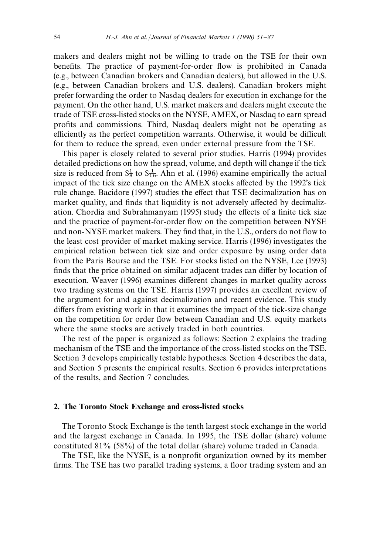makers and dealers might not be willing to trade on the TSE for their own benefits. The practice of payment-for-order flow is prohibited in Canada (e.g., between Canadian brokers and Canadian dealers), but allowed in the U.S. (e.g., between Canadian brokers and U.S. dealers). Canadian brokers might prefer forwarding the order to Nasdaq dealers for execution in exchange for the payment. On the other hand, U.S. market makers and dealers might execute the trade of TSE cross-listed stocks on the NYSE, AMEX, or Nasdaq to earn spread profits and commissions. Third, Nasdaq dealers might not be operating as efficiently as the perfect competition warrants. Otherwise, it would be difficult for them to reduce the spread, even under external pressure from the TSE.

This paper is closely related to several prior studies. Harris (1994) provides detailed predictions on how the spread, volume, and depth will change if the tick size is reduced from  $\frac{1}{8}$  to  $\frac{1}{16}$ . Ahn et al. (1996) examine empirically the actual impact of the tick size change on the AMEX stocks affected by the 1992's tick rule change. Bacidore (1997) studies the effect that TSE decimalization has on market quality, and finds that liquidity is not adversely affected by decimalization. Chordia and Subrahmanyam (1995) study the effects of a finite tick size and the practice of payment-for-order flow on the competition between NYSE and non-NYSE market makers. They find that, in the U.S., orders do not flow to the least cost provider of market making service. Harris (1996) investigates the empirical relation between tick size and order exposure by using order data from the Paris Bourse and the TSE. For stocks listed on the NYSE, Lee (1993) finds that the price obtained on similar adjacent trades can differ by location of execution. Weaver (1996) examines different changes in market quality across two trading systems on the TSE. Harris (1997) provides an excellent review of the argument for and against decimalization and recent evidence. This study differs from existing work in that it examines the impact of the tick-size change on the competition for order flow between Canadian and U.S. equity markets where the same stocks are actively traded in both countries.

The rest of the paper is organized as follows: Section 2 explains the trading mechanism of the TSE and the importance of the cross-listed stocks on the TSE. Section 3 develops empirically testable hypotheses. Section 4 describes the data, and Section 5 presents the empirical results. Section 6 provides interpretations of the results, and Section 7 concludes.

#### 2. The Toronto Stock Exchange and cross-listed stocks

The Toronto Stock Exchange is the tenth largest stock exchange in the world and the largest exchange in Canada. In 1995, the TSE dollar (share) volume constituted 81% (58%) of the total dollar (share) volume traded in Canada.

The TSE, like the NYSE, is a nonprofit organization owned by its member firms. The TSE has two parallel trading systems, a floor trading system and an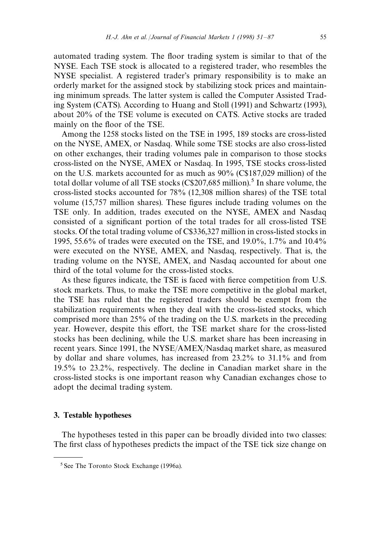automated trading system. The floor trading system is similar to that of the NYSE. Each TSE stock is allocated to a registered trader, who resembles the NYSE specialist. A registered trader's primary responsibility is to make an orderly market for the assigned stock by stabilizing stock prices and maintaining minimum spreads. The latter system is called the Computer Assisted Trading System (CATS). According to Huang and Stoll (1991) and Schwartz (1993), about 20% of the TSE volume is executed on CATS. Active stocks are traded mainly on the floor of the TSE.

Among the 1258 stocks listed on the TSE in 1995, 189 stocks are cross-listed on the NYSE, AMEX, or Nasdaq. While some TSE stocks are also cross-listed on other exchanges, their trading volumes pale in comparison to those stocks cross-listed on the NYSE, AMEX or Nasdaq. In 1995, TSE stocks cross-listed on the U.S. markets accounted for as much as 90% (C\$187,029 million) of the total dollar volume of all TSE stocks (C\$207,685 million).<sup>5</sup> In share volume, the cross-listed stocks accounted for 78% (12,308 million shares) of the TSE total volume (15,757 million shares). These figures include trading volumes on the TSE only. In addition, trades executed on the NYSE, AMEX and Nasdaq consisted of a significant portion of the total trades for all cross-listed TSE stocks. Of the total trading volume of C\$336,327 million in cross-listed stocks in 1995, 55.6% of trades were executed on the TSE, and 19.0%, 1.7% and 10.4% were executed on the NYSE, AMEX, and Nasdaq, respectively. That is, the trading volume on the NYSE, AMEX, and Nasdaq accounted for about one third of the total volume for the cross-listed stocks.

As these figures indicate, the TSE is faced with fierce competition from U.S. stock markets. Thus, to make the TSE more competitive in the global market, the TSE has ruled that the registered traders should be exempt from the stabilization requirements when they deal with the cross-listed stocks, which comprised more than 25% of the trading on the U.S. markets in the preceding year. However, despite this effort, the TSE market share for the cross-listed stocks has been declining, while the U.S. market share has been increasing in recent years. Since 1991, the NYSE/AMEX/Nasdaq market share, as measured by dollar and share volumes, has increased from 23.2% to 31.1% and from 19.5% to 23.2%, respectively. The decline in Canadian market share in the cross-listed stocks is one important reason why Canadian exchanges chose to adopt the decimal trading system.

## 3. Testable hypotheses

The hypotheses tested in this paper can be broadly divided into two classes: The first class of hypotheses predicts the impact of the TSE tick size change on

<sup>5</sup> See The Toronto Stock Exchange (1996a).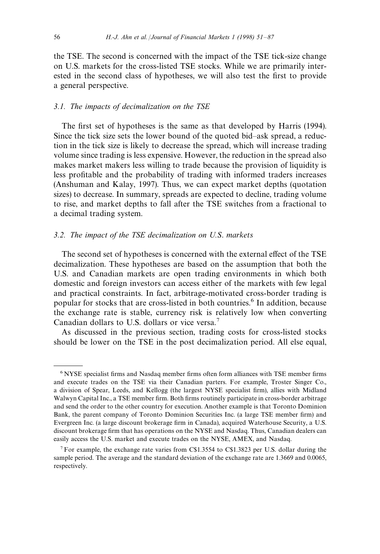the TSE. The second is concerned with the impact of the TSE tick-size change on U.S. markets for the cross-listed TSE stocks. While we are primarily interested in the second class of hypotheses, we will also test the first to provide a general perspective.

#### *3.1. The impacts of decimalization on the TSE*

The first set of hypotheses is the same as that developed by Harris (1994). Since the tick size sets the lower bound of the quoted bid*—*ask spread, a reduction in the tick size is likely to decrease the spread, which will increase trading volume since trading is less expensive. However, the reduction in the spread also makes market makers less willing to trade because the provision of liquidity is less profitable and the probability of trading with informed traders increases (Anshuman and Kalay, 1997). Thus, we can expect market depths (quotation sizes) to decrease. In summary, spreads are expected to decline, trading volume to rise, and market depths to fall after the TSE switches from a fractional to a decimal trading system.

## *3.2. The impact of the TSE decimalization on U.S*. *markets*

The second set of hypotheses is concerned with the external effect of the TSE decimalization. These hypotheses are based on the assumption that both the U.S. and Canadian markets are open trading environments in which both domestic and foreign investors can access either of the markets with few legal and practical constraints. In fact, arbitrage-motivated cross-border trading is popular for stocks that are cross-listed in both countries.<sup>6</sup> In addition, because the exchange rate is stable, currency risk is relatively low when converting Canadian dollars to U.S. dollars or vice versa.<sup>7</sup>

As discussed in the previous section, trading costs for cross-listed stocks should be lower on the TSE in the post decimalization period. All else equal,

<sup>6</sup> NYSE specialist firms and Nasdaq member firms often form alliances with TSE member firms and execute trades on the TSE via their Canadian parters. For example, Troster Singer Co., a division of Spear, Leeds, and Kellogg (the largest NYSE specialist firm), allies with Midland Walwyn Capital Inc., a TSE member firm. Both firms routinely participate in cross-border arbitrage and send the order to the other country for execution. Another example is that Toronto Dominion Bank, the parent company of Toronto Dominion Securities Inc. (a large TSE member firm) and Evergreen Inc. (a large discount brokerage firm in Canada), acquired Waterhouse Security, a U.S. discount brokerage firm that has operations on the NYSE and Nasdaq. Thus, Canadian dealers can easily access the U.S. market and execute trades on the NYSE, AMEX, and Nasdaq.

<sup>7</sup>For example, the exchange rate varies from C\$1.3554 to C\$1.3823 per U.S. dollar during the sample period. The average and the standard deviation of the exchange rate are 1.3669 and 0.0065, respectively.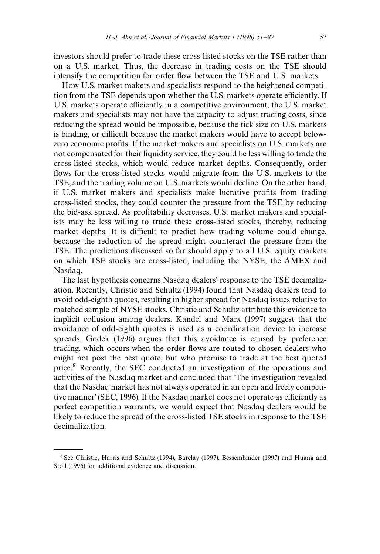investors should prefer to trade these cross-listed stocks on the TSE rather than on a U.S. market. Thus, the decrease in trading costs on the TSE should intensify the competition for order flow between the TSE and U.S. markets.

How U.S. market makers and specialists respond to the heightened competition from the TSE depends upon whether the U.S. markets operate efficiently. If U.S. markets operate efficiently in a competitive environment, the U.S. market makers and specialists may not have the capacity to adjust trading costs, since reducing the spread would be impossible, because the tick size on U.S. markets is binding, or difficult because the market makers would have to accept belowzero economic profits. If the market makers and specialists on U.S. markets are not compensated for their liquidity service, they could be less willing to trade the cross-listed stocks, which would reduce market depths. Consequently, order flows for the cross-listed stocks would migrate from the U.S. markets to the TSE, and the trading volume on U.S. markets would decline. On the other hand, if U.S. market makers and specialists make lucrative profits from trading cross-listed stocks, they could counter the pressure from the TSE by reducing the bid-ask spread. As profitability decreases, U.S. market makers and specialists may be less willing to trade these cross-listed stocks, thereby, reducing market depths. It is difficult to predict how trading volume could change, because the reduction of the spread might counteract the pressure from the TSE. The predictions discussed so far should apply to all U.S. equity markets on which TSE stocks are cross-listed, including the NYSE, the AMEX and Nasdaq,

The last hypothesis concerns Nasdaq dealers' response to the TSE decimalization. Recently, Christie and Schultz (1994) found that Nasdaq dealers tend to avoid odd-eighth quotes, resulting in higher spread for Nasdaq issues relative to matched sample of NYSE stocks. Christie and Schultz attribute this evidence to implicit collusion among dealers. Kandel and Marx (1997) suggest that the avoidance of odd-eighth quotes is used as a coordination device to increase spreads. Godek (1996) argues that this avoidance is caused by preference trading, which occurs when the order flows are routed to chosen dealers who might not post the best quote, but who promise to trade at the best quoted price.<sup>8</sup> Recently, the SEC conducted an investigation of the operations and activities of the Nasdaq market and concluded that 'The investigation revealed that the Nasdaq market has not always operated in an open and freely competitive manner' (SEC, 1996). If the Nasdaq market does not operate as efficiently as perfect competition warrants, we would expect that Nasdaq dealers would be likely to reduce the spread of the cross-listed TSE stocks in response to the TSE decimalization.

<sup>8</sup> See Christie, Harris and Schultz (1994), Barclay (1997), Bessembinder (1997) and Huang and Stoll (1996) for additional evidence and discussion.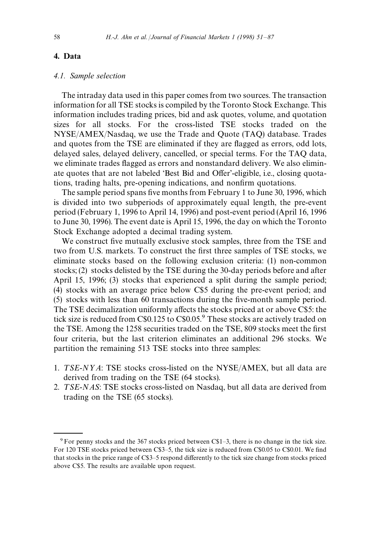#### 4. Data

#### *4.1. Sample selection*

The intraday data used in this paper comes from two sources. The transaction information for all TSE stocks is compiled by the Toronto Stock Exchange. This information includes trading prices, bid and ask quotes, volume, and quotation sizes for all stocks. For the cross-listed TSE stocks traded on the NYSE/AMEX/Nasdaq, we use the Trade and Quote (TAQ) database. Trades and quotes from the TSE are eliminated if they are flagged as errors, odd lots, delayed sales, delayed delivery, cancelled, or special terms. For the TAQ data, we eliminate trades flagged as errors and nonstandard delivery. We also eliminate quotes that are not labeled 'Best Bid and Offer'-eligible, i.e., closing quotations, trading halts, pre-opening indications, and nonfirm quotations.

The sample period spans five months from February 1 to June 30, 1996, which is divided into two subperiods of approximately equal length, the pre-event period (February 1, 1996 to April 14, 1996) and post-event period (April 16, 1996 to June 30, 1996). The event date is April 15, 1996, the day on which the Toronto Stock Exchange adopted a decimal trading system.

We construct five mutually exclusive stock samples, three from the TSE and two from U.S. markets. To construct the first three samples of TSE stocks, we eliminate stocks based on the following exclusion criteria: (1) non-common stocks; (2) stocks delisted by the TSE during the 30-day periods before and after April 15, 1996; (3) stocks that experienced a split during the sample period; (4) stocks with an average price below C\$5 during the pre-event period; and (5) stocks with less than 60 transactions during the five-month sample period. The TSE decimalization uniformly affects the stocks priced at or above C\$5: the tick size is reduced from C\$0.125 to C\$0.05.<sup>9</sup> These stocks are actively traded on the TSE. Among the 1258 securities traded on the TSE, 809 stocks meet the first four criteria, but the last criterion eliminates an additional 296 stocks. We partition the remaining 513 TSE stocks into three samples:

- 1. TSE-NYA: TSE stocks cross-listed on the NYSE/AMEX, but all data are derived from trading on the TSE (64 stocks).
- 2. TSE-NAS: TSE stocks cross-listed on Nasdaq, but all data are derived from trading on the TSE (65 stocks).

<sup>9</sup>For penny stocks and the 367 stocks priced between C\$1*—*3, there is no change in the tick size. For 120 TSE stocks priced between C\$3*—*5, the tick size is reduced from C\$0.05 to C\$0.01. We find that stocks in the price range of C\$3*—*5 respond differently to the tick size change from stocks priced above C\$5. The results are available upon request.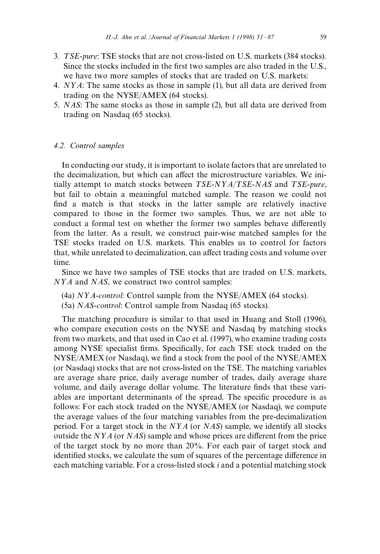- 3. *TSE-pure*: TSE stocks that are not cross-listed on U.S. markets (384 stocks). Since the stocks included in the first two samples are also traded in the U.S., we have two more samples of stocks that are traded on U.S. markets:
- 4. *N*½*A*: The same stocks as those in sample (1), but all data are derived from trading on the NYSE/AMEX (64 stocks).
- 5. *NAS*: The same stocks as those in sample (2), but all data are derived from trading on Nasdaq (65 stocks).

#### *4.2. Control samples*

In conducting our study, it is important to isolate factors that are unrelated to the decimalization, but which can affect the microstructure variables. We initially attempt to match stocks between *TSE-NYA*/*TSE-NAS* and *TSE-pure*, but fail to obtain a meaningful matched sample. The reason we could not find a match is that stocks in the latter sample are relatively inactive compared to those in the former two samples. Thus, we are not able to conduct a formal test on whether the former two samples behave differently from the latter. As a result, we construct pair-wise matched samples for the TSE stocks traded on U.S. markets. This enables us to control for factors that, while unrelated to decimalization, can affect trading costs and volume over time.

Since we have two samples of TSE stocks that are traded on U.S. markets, *N*½*A* and *NAS*, we construct two control samples:

(4a) *N*½*A*-*control*: Control sample from the NYSE/AMEX (64 stocks).

(5a) *NAS*-*control*: Control sample from Nasdaq (65 stocks).

The matching procedure is similar to that used in Huang and Stoll (1996), who compare execution costs on the NYSE and Nasdaq by matching stocks from two markets, and that used in Cao et al. (1997), who examine trading costs among NYSE specialist firms. Specifically, for each TSE stock traded on the NYSE/AMEX (or Nasdaq), we find a stock from the pool of the NYSE/AMEX (or Nasdaq) stocks that are not cross-listed on the TSE. The matching variables are average share price, daily average number of trades, daily average share volume, and daily average dollar volume. The literature finds that these variables are important determinants of the spread. The specific procedure is as follows: For each stock traded on the NYSE/AMEX (or Nasdaq), we compute the average values of the four matching variables from the pre-decimalization period. For a target stock in the *N*½*A* (or *NAS*) sample, we identify all stocks outside the *N*½*A* (or *NAS*) sample and whose prices are different from the price of the target stock by no more than 20%. For each pair of target stock and identified stocks, we calculate the sum of squares of the percentage difference in each matching variable. For a cross-listed stock *i* and a potential matching stock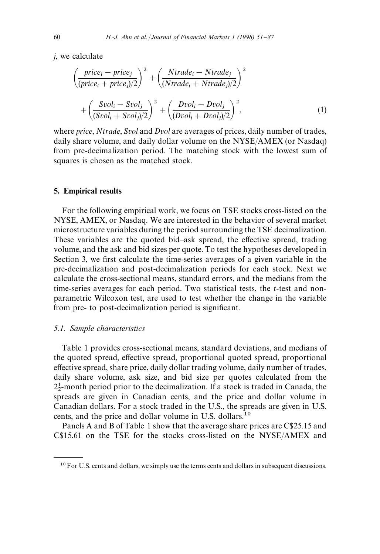*j*, we calculate

$$
\left(\frac{price_i - price_j}{(price_i + price_j)/2}\right)^2 + \left(\frac{Ntrade_i - Ntrade_j}{(Ntrade_i + Ntrade_j)/2}\right)^2 + \left(\frac{Svol_i - Svol_j}{(Svol_i + Svol_j)/2}\right)^2 + \left(\frac{Dvol_i - Dvol_j}{(Dvol_i + Dvol_j)/2}\right)^2,
$$
\n(1)

where *price*, *Ntrade*, *Svol* and *Dvol* are averages of prices, daily number of trades, daily share volume, and daily dollar volume on the NYSE/AMEX (or Nasdaq) from pre-decimalization period. The matching stock with the lowest sum of squares is chosen as the matched stock.

## 5. Empirical results

For the following empirical work, we focus on TSE stocks cross-listed on the NYSE, AMEX, or Nasdaq. We are interested in the behavior of several market microstructure variables during the period surrounding the TSE decimalization. These variables are the quoted bid*—*ask spread, the effective spread, trading volume, and the ask and bid sizes per quote. To test the hypotheses developed in Section 3, we first calculate the time-series averages of a given variable in the pre-decimalization and post-decimalization periods for each stock. Next we calculate the cross-sectional means, standard errors, and the medians from the time-series averages for each period. Two statistical tests, the *t*-test and nonparametric Wilcoxon test, are used to test whether the change in the variable from pre- to post-decimalization period is significant.

#### *5.1. Sample characteristics*

Table 1 provides cross-sectional means, standard deviations, and medians of the quoted spread, effective spread, proportional quoted spread, proportional effective spread, share price, daily dollar trading volume, daily number of trades, daily share volume, ask size, and bid size per quotes calculated from the  $2\frac{1}{2}$ -month period prior to the decimalization. If a stock is traded in Canada, the spreads are given in Canadian cents, and the price and dollar volume in Canadian dollars. For a stock traded in the U.S., the spreads are given in U.S. cents, and the price and dollar volume in U.S. dollars.10

Panels A and B of Table 1 show that the average share prices are C\$25.15 and C\$15.61 on the TSE for the stocks cross-listed on the NYSE/AMEX and

 $10$  For U.S. cents and dollars, we simply use the terms cents and dollars in subsequent discussions.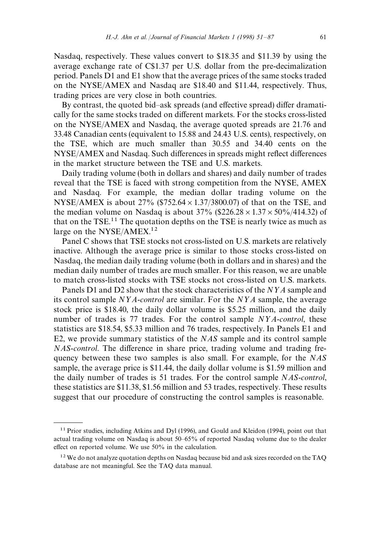Nasdaq, respectively. These values convert to \$18.35 and \$11.39 by using the average exchange rate of C\$1.37 per U.S. dollar from the pre-decimalization period. Panels D1 and E1 show that the average prices of the same stocks traded on the NYSE/AMEX and Nasdaq are \$18.40 and \$11.44, respectively. Thus, trading prices are very close in both countries.

By contrast, the quoted bid*—*ask spreads (and effective spread) differ dramatically for the same stocks traded on different markets. For the stocks cross-listed on the NYSE/AMEX and Nasdaq, the average quoted spreads are 21.76 and 33.48 Canadian cents (equivalent to 15.88 and 24.43 U.S. cents), respectively, on the TSE, which are much smaller than 30.55 and 34.40 cents on the NYSE/AMEX and Nasdaq. Such differences in spreads might reflect differences in the market structure between the TSE and U.S. markets.

Daily trading volume (both in dollars and shares) and daily number of trades reveal that the TSE is faced with strong competition from the NYSE, AMEX and Nasdaq. For example, the median dollar trading volume on the NYSE/AMEX is about 27% (\$752.64  $\times$  1.37/3800.07) of that on the TSE, and the median volume on Nasdaq is about 37% (\$226.28  $\times$  1.37  $\times$  50%/414.32) of that on the TSE.<sup>11</sup> The quotation depths on the TSE is nearly twice as much as large on the NYSE/AMEX.<sup>12</sup>

Panel C shows that TSE stocks not cross-listed on U.S. markets are relatively inactive. Although the average price is similar to those stocks cross-listed on Nasdaq, the median daily trading volume (both in dollars and in shares) and the median daily number of trades are much smaller. For this reason, we are unable to match cross-listed stocks with TSE stocks not cross-listed on U.S. markets.

Panels D1 and D2 show that the stock characteristics of the *N*½*A* sample and its control sample *N*½*A*-*control* are similar. For the *N*½*A* sample, the average stock price is \$18.40, the daily dollar volume is \$5.25 million, and the daily number of trades is 77 trades. For the control sample *N*½*A*-*control*, these statistics are \$18.54, \$5.33 million and 76 trades, respectively. In Panels E1 and E2, we provide summary statistics of the *NAS* sample and its control sample *NAS*-*control*. The difference in share price, trading volume and trading frequency between these two samples is also small. For example, for the *NAS* sample, the average price is \$11.44, the daily dollar volume is \$1.59 million and the daily number of trades is 51 trades. For the control sample *NAS*-*control*, these statistics are \$11.38, \$1.56 million and 53 trades, respectively. These results suggest that our procedure of constructing the control samples is reasonable.

<sup>&</sup>lt;sup>11</sup> Prior studies, including Atkins and Dyl (1996), and Gould and Kleidon (1994), point out that actual trading volume on Nasdaq is about 50*—*65% of reported Nasdaq volume due to the dealer effect on reported volume. We use 50% in the calculation.

 $12$  We do not analyze quotation depths on Nasdaq because bid and ask sizes recorded on the TAQ database are not meaningful. See the TAQ data manual.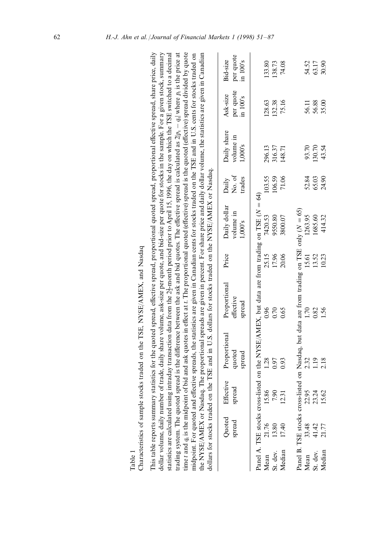|          |                  |                     |                        | Characteristics of sample stocks traded on the 1SE, NYSE/AMEX, and Nasdad                                                                                                                                                                                                                                                                                                                                                                                                                                                                                                                                                                                                                                                                                                                                                                                                                                                                                                                                                                                                                                                                                                                                                                                            |       |                           |                 |                          |                       |                       |
|----------|------------------|---------------------|------------------------|----------------------------------------------------------------------------------------------------------------------------------------------------------------------------------------------------------------------------------------------------------------------------------------------------------------------------------------------------------------------------------------------------------------------------------------------------------------------------------------------------------------------------------------------------------------------------------------------------------------------------------------------------------------------------------------------------------------------------------------------------------------------------------------------------------------------------------------------------------------------------------------------------------------------------------------------------------------------------------------------------------------------------------------------------------------------------------------------------------------------------------------------------------------------------------------------------------------------------------------------------------------------|-------|---------------------------|-----------------|--------------------------|-----------------------|-----------------------|
|          |                  |                     |                        | This table reports summary statistics for the quoted spread, effective spread, proportional quoted spread, proportional effective spread, share price, daily<br>statistics are calculated using intraday transaction data from the 23-month period prior to April 15, 1996, the day on which the TSE switched to a decimal<br>trading system. The quoted spread is the difference between the ask and bid quotes. The effective spread is calculated as $2 p_1 - q_1 $ where $p_i$ is the price at<br>time t and q, is the midpoint of bid and ask quotes in effect at t. The proportional quoted (effective) spread is the quoted (effective) spread divided by quote<br>the NYSE/AMEX or Nasdaq. The proportional spreads are given in percent. For share price and daily dollar volume, the statistics are given in Canadian<br>dollar volume, daily number of trade, daily share volume, ask-size per quote, and bid-size per quote for stocks in the sample. For a given stock, summary<br>midpoint. For quoted and effective spreads, the statistics are given in Canadian cents for stocks traded on the TSE and in U.S. cents for stocks traded on<br>dollars for stocks traded on the TSE and in U.S. dollars for stocks traded on the NYSE/AMEX or Nasdaq. |       |                           |                 |                          |                       |                       |
|          | Quoted<br>spread | Effective<br>spread | Proportional<br>quoted | Proportional<br>effective                                                                                                                                                                                                                                                                                                                                                                                                                                                                                                                                                                                                                                                                                                                                                                                                                                                                                                                                                                                                                                                                                                                                                                                                                                            | Price | Daily dollar<br>volume in | No. of<br>Daily | Daily share<br>volume in | per quote<br>Ask-size | per quote<br>Bid-size |
|          |                  |                     | spread                 | spread                                                                                                                                                                                                                                                                                                                                                                                                                                                                                                                                                                                                                                                                                                                                                                                                                                                                                                                                                                                                                                                                                                                                                                                                                                                               |       | 1,000's                   | trades          | 1,000's                  | $\ln 100$ 's          | $\sin 100$ 's         |
|          |                  |                     |                        | Panel A. TSE stocks cross-listed on the NYSE/AMEX, but data are from trading on TSE (N = 64)                                                                                                                                                                                                                                                                                                                                                                                                                                                                                                                                                                                                                                                                                                                                                                                                                                                                                                                                                                                                                                                                                                                                                                         |       |                           |                 |                          |                       |                       |
| Mean     | 21.76            | 15.86               | 1.28                   | 0.96                                                                                                                                                                                                                                                                                                                                                                                                                                                                                                                                                                                                                                                                                                                                                                                                                                                                                                                                                                                                                                                                                                                                                                                                                                                                 | 25.15 | 7420.53                   | 103.55          | 296.13                   | 128.63                | 133.80                |
| St. dev. | 13.80            | 7.90                | 0.97                   | 0.70                                                                                                                                                                                                                                                                                                                                                                                                                                                                                                                                                                                                                                                                                                                                                                                                                                                                                                                                                                                                                                                                                                                                                                                                                                                                 | 17.96 | 9550.80                   | 106.59          | 316.37                   | 132.38                | 138.73                |
| Median   | 17.40            | 12.31               | 0.93                   | 0.65                                                                                                                                                                                                                                                                                                                                                                                                                                                                                                                                                                                                                                                                                                                                                                                                                                                                                                                                                                                                                                                                                                                                                                                                                                                                 | 20.06 | 3800.07                   | 71.06           | 148.71                   | 75.16                 | 74.08                 |
|          |                  |                     |                        | Panel B. TSE stocks cross-listed on Nasdaq, but data are from trading on TSE only $(N = 65)$                                                                                                                                                                                                                                                                                                                                                                                                                                                                                                                                                                                                                                                                                                                                                                                                                                                                                                                                                                                                                                                                                                                                                                         |       |                           |                 |                          |                       |                       |
| Mean     | 33.48            | 22.95               | 2.32                   | 1.70                                                                                                                                                                                                                                                                                                                                                                                                                                                                                                                                                                                                                                                                                                                                                                                                                                                                                                                                                                                                                                                                                                                                                                                                                                                                 | 15.61 | 1263.95                   | 52.84           | 93.70                    | 56.11                 | 54.52                 |
| St. dev. | 41.42            | 23.24               | 1.19                   | 0.82                                                                                                                                                                                                                                                                                                                                                                                                                                                                                                                                                                                                                                                                                                                                                                                                                                                                                                                                                                                                                                                                                                                                                                                                                                                                 | 13.52 | 1685.60                   | 65.03           | 130.70                   | 56.88                 | 63.17                 |
| Median   | 21.77            | 15.62               | 2.18                   | 1.56                                                                                                                                                                                                                                                                                                                                                                                                                                                                                                                                                                                                                                                                                                                                                                                                                                                                                                                                                                                                                                                                                                                                                                                                                                                                 | 10.23 | 414.32                    | 24.90           | 43.54                    | 35.00                 | 30.90                 |

Table 1<br>Characteristics of sample stocks traded on the TSE, NVSE/AMEX, and Nasdaq Characteristics of sample stocks traded on the TSE, NYSE/AMEX, and Nasdaq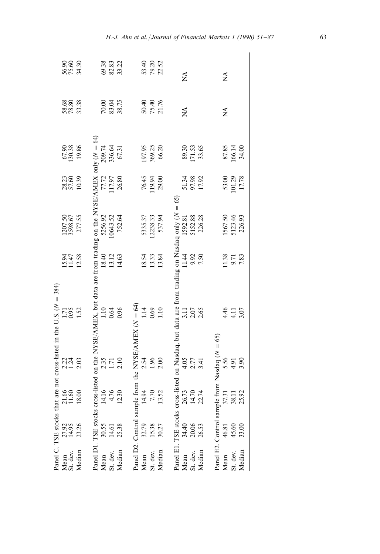|                  |                         |                         | Panel C. TSE stocks that are not cross-listed in the U.S. $(N = 384)$ |                                                                                                                  |                                                        |                    |                         |                  |                         |                                             |
|------------------|-------------------------|-------------------------|-----------------------------------------------------------------------|------------------------------------------------------------------------------------------------------------------|--------------------------------------------------------|--------------------|-------------------------|------------------|-------------------------|---------------------------------------------|
| Mean<br>St. dev. | 27.92<br>14.95<br>23.26 | $\frac{21.66}{11.60}$   | $223$<br>$23$<br>$2.03$                                               | $\frac{1.71}{0.95}$                                                                                              | $\begin{array}{c} 15.94 \\ 11.47 \\ 12.58 \end{array}$ | 1207.50<br>3598.67 | 28.23<br>57.60<br>10.39 | 67.90<br>130.38  | 58.68<br>78.80<br>33.38 | 56.90<br>75.90<br>34.30                     |
| Median           |                         |                         |                                                                       |                                                                                                                  |                                                        | 277.55             |                         | 19.86            |                         |                                             |
|                  |                         |                         |                                                                       | Panel D1. TSE stocks cross-listed on the NYSE/AMEX, but data are from trading on the NYSE/AMEX only ( $N = 64$ ) |                                                        |                    |                         |                  |                         |                                             |
|                  |                         |                         |                                                                       |                                                                                                                  |                                                        |                    |                         |                  |                         |                                             |
| Mean             | 30.55                   | 14.16                   |                                                                       | 1.10                                                                                                             | 18.40                                                  | 5256.92            |                         |                  | 70.00                   |                                             |
| St. dev.         | 14.61                   | 4.76<br>12.30           | $2.35$<br>$1.71$<br>$2.10$                                            | 0.64                                                                                                             | 13.12                                                  | 10643.52           | 77.72<br>117.97         | 209.74<br>336.64 | 83.04                   | 69.38<br>82.83                              |
| Median           | 25.38                   |                         |                                                                       | 0.96                                                                                                             | 14.63                                                  | 752.64             | 26.80                   | 67.31            | 38.75                   | 33.22                                       |
|                  |                         |                         | Panel D2. Control sample from the NYSE/AMEX ( $N = 64$ )              |                                                                                                                  |                                                        |                    |                         |                  |                         |                                             |
| Mean             |                         | 14.94                   |                                                                       | 1.14                                                                                                             |                                                        | 5335.37            |                         | 197.95           |                         |                                             |
| St. dev.         | 32.79<br>15.38          | 7.70                    | $2.54$<br>$1.96$<br>$2.00$                                            | 0.69                                                                                                             | 18.54<br>13.33                                         | 12238.33           | 76.45<br>119.94         | 369.25           | 50.40<br>75.40<br>21.76 | 53.40<br>79.52<br>22.52                     |
| Median           | 30.27                   | 13.52                   |                                                                       | 1.10                                                                                                             | 13.84                                                  | 537.94             | 29.00                   | 66.20            |                         |                                             |
|                  |                         |                         |                                                                       | Panel E1. TSE stocks cross-listed on Nasdaq, but data are from trading on Nasdaq only $(N = 65)$                 |                                                        |                    |                         |                  |                         |                                             |
| Mean             |                         |                         |                                                                       | 3.11                                                                                                             | 11.44                                                  | 1592.81            |                         |                  | Ź                       | Ź                                           |
| St. dev.         | 34.40<br>20.06          | 26.73<br>14.70<br>22.74 | $4.05$<br>$2.77$<br>$3.41$                                            | 2.07                                                                                                             | 9.92<br>7.50                                           | 5152.88            | 51.34<br>97.98          | 89.30<br>171.53  |                         |                                             |
| Median           | 26.53                   |                         |                                                                       | 2.65                                                                                                             |                                                        | 226.28             | 17.92                   | 33.65            |                         |                                             |
|                  |                         |                         | Panel E2. Control sample from Nasdaq $(N = 65)$                       |                                                                                                                  |                                                        |                    |                         |                  |                         |                                             |
| Mean             | 46.81                   | 37.31                   |                                                                       |                                                                                                                  |                                                        |                    |                         |                  | ≸                       | $\mathop{\lesssim}\limits^{\blacktriangle}$ |
| St. dev.         | 45.60                   | 38.11                   | 5.56<br>4.91<br>3.90                                                  | 4.46<br>4.11                                                                                                     | $\frac{11.38}{9.71}$                                   | 1567.50<br>5123.46 | 53.00<br>101.29         | 87.85<br>166.14  |                         |                                             |
| Median           | 33.00                   | 25.92                   |                                                                       | 3.07                                                                                                             | 7.83                                                   | 226.93             | 17.78                   | 34.00            |                         |                                             |
|                  |                         |                         |                                                                       |                                                                                                                  |                                                        |                    |                         |                  |                         |                                             |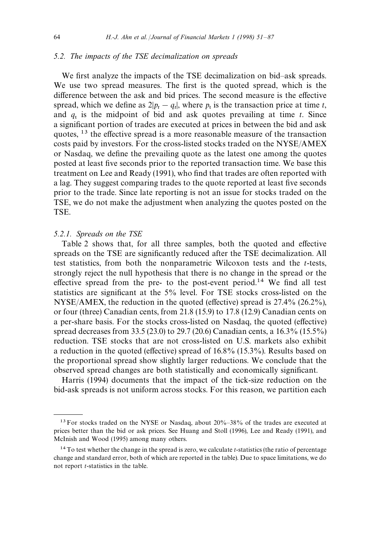## *5.2. The impacts of the TSE decimalization on spreads*

We first analyze the impacts of the TSE decimalization on bid*—*ask spreads. We use two spread measures. The first is the quoted spread, which is the difference between the ask and bid prices. The second measure is the effective spread, which we define as  $2|p_t - q_t|$ , where  $p_t$  is the transaction price at time *t*, and  $q_t$  is the midpoint of bid and ask quotes prevailing at time *t*. Since a significant portion of trades are executed at prices in between the bid and ask quotes, 13 the effective spread is a more reasonable measure of the transaction costs paid by investors. For the cross-listed stocks traded on the NYSE/AMEX or Nasdaq, we define the prevailing quote as the latest one among the quotes posted at least five seconds prior to the reported transaction time. We base this treatment on Lee and Ready (1991), who find that trades are often reported with a lag. They suggest comparing trades to the quote reported at least five seconds prior to the trade. Since late reporting is not an issue for stocks traded on the TSE, we do not make the adjustment when analyzing the quotes posted on the TSE.

## *5.2.1. Spreads on the TSE*

Table 2 shows that, for all three samples, both the quoted and effective spreads on the TSE are significantly reduced after the TSE decimalization. All test statistics, from both the nonparametric Wilcoxon tests and the *t*-tests, strongly reject the null hypothesis that there is no change in the spread or the effective spread from the pre- to the post-event period.<sup>14</sup> We find all test statistics are significant at the 5% level. For TSE stocks cross-listed on the NYSE/AMEX, the reduction in the quoted (effective) spread is 27.4% (26.2%), or four (three) Canadian cents, from 21.8 (15.9) to 17.8 (12.9) Canadian cents on a per-share basis. For the stocks cross-listed on Nasdaq, the quoted (effective) spread decreases from 33.5 (23.0) to 29.7 (20.6) Canadian cents, a 16.3% (15.5%) reduction. TSE stocks that are not cross-listed on U.S. markets also exhibit a reduction in the quoted (effective) spread of 16.8% (15.3%). Results based on the proportional spread show slightly larger reductions. We conclude that the observed spread changes are both statistically and economically significant.

Harris (1994) documents that the impact of the tick-size reduction on the bid-ask spreads is not uniform across stocks. For this reason, we partition each

<sup>13</sup>For stocks traded on the NYSE or Nasdaq, about 20%*—*38% of the trades are executed at prices better than the bid or ask prices. See Huang and Stoll (1996), Lee and Ready (1991), and McInish and Wood (1995) among many others.

<sup>14</sup>To test whether the change in the spread is zero, we calculate *t*-statistics (the ratio of percentage change and standard error, both of which are reported in the table). Due to space limitations, we do not report *t*-statistics in the table.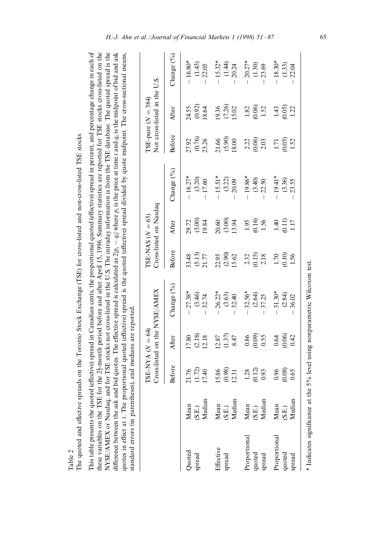The quoted and effective spreads on the Toronto Stock Exchange (TSE) for cross-listed and non-cross-listed TSE stocks The quoted and effective spreads on the Toronto Stock Exchange (TSE) for cross-listed and non-cross-listed TSE stocks

This table presents the quoted (effective) spread in Canadian cents, the proportional quoted (effective) spread in percent, and percentage change in each of these variables on the TSE for the  $2\frac{1}{2}$ -month period before and after April 15, 1996. Summary statistics are reported for TSE stocks cross-listed on the NYSE/AMEX or Nasdaq, and for TSE stocks not cross-listed in the U.S. The intraday information is from the TSE database. The quoted spread is the This table presents the quoted (effective) spread in Canadian cents, the proportional quoted (effective) spread in percent, and percentage change in each of these variables on the TSE for the 23-month period before and after April 15, 1996. Summary statistics are reported for TSE stocks cross-listed on the NYSE/AMEX or Nasdaq, and for TSE stocks not cross-listed in the U.S. The intraday information is from the TSE database. The quoted spread is the difference between the ask and bid quotes. The effective spread is calculated as  $2|p_1 - q_1|$  where  $p_1$  is the price at time t and q, is the midpoint of bid and ask difference between the ask and bid quotes. The effective spread is calculated as  $2|p_1 - q_1|$  where *p*<sub>1</sub> is the price at time *t* and *q*<sub>5</sub> is the midpoint of bid and ask quotes in effect at t. The proportional quoted (effective) spread is the quoted (effective) spread divided by quote midpoint. The cross-sectional means, quotes in effect at *t*. The proportional quoted (effective) spread is the quoted (effective) spread divided by quote midpoint. The cross-sectional means, standard errors (in parentheses), and medians are reported. standard errors (in parentheses), and medians are reported.

|                                 |                          |                                             | $ISE-NNA (N = 64)$                                      | Cross-listed on the NYSE/AMEX   |                              | Cross-listed on Nasdaq<br>$TSE-NAS (N = 65)$ |                                 |                              | Not cross-listed in the U.S.<br>$\text{TSE-pure}$ $(N = 384)$ |                                 |
|---------------------------------|--------------------------|---------------------------------------------|---------------------------------------------------------|---------------------------------|------------------------------|----------------------------------------------|---------------------------------|------------------------------|---------------------------------------------------------------|---------------------------------|
|                                 |                          | Before                                      | After                                                   | Change (%)                      | Before                       | After                                        | Change (%)                      | <b>Before</b>                | After                                                         | Change (%)                      |
| Quoted<br>spread                | Mean<br>(S.E.)<br>Median | 21.76<br>(1.72)<br>17.40                    | $(2.18)$<br>$(2.18)$<br>17.80                           | $27.38*$<br>$(3.46)$<br>$32.74$ | 33.48<br>(5.13)<br>21.77     | 29.72<br>(5.00)<br>19.84                     | $16.27*$<br>(3.20)<br>17.60     | 27.92<br>0.76)<br>23.26      | 24.55<br>(0.92)<br>18.64                                      | $16.80*$<br>$(1.43)$<br>22.05   |
| Effective<br>spread             | Mean<br>(S.E.)<br>Median | $\frac{(5.86)}{(0.98)}$                     | $\begin{array}{c} (2.87) \\ (1.37) \\ 8.47 \end{array}$ | $26.22*$<br>(3.63)<br>(3.40)    | 22.95<br>(2.90)<br>15.62     | 20.60<br>(3.00)<br>13.94                     | $15.51*$<br>$(3.22)$<br>$20.09$ | 21.66<br>(5.90)<br>18.00     | 19.36<br>(7.26)<br>15.02                                      | $15.324$<br>$(1.44)$<br>$20.24$ |
| Proportiona<br>quoted<br>spread | Mean<br>(S.E.)<br>Median | $\begin{array}{c} 1.28 \\ 0.12 \end{array}$ | $\begin{array}{c} 0.86 \\ 0.09 \\ 0.55 \end{array}$     | 32.56*<br>(2.64)<br>37.25       | $2.32$<br>$(0.15)$<br>$2.18$ | 1.95<br>0.16<br>1.56                         | 19.86*<br>(3.40)<br>22.50       | $2.22$<br>$(0.06)$<br>$2.03$ | $1.82$<br>$0.06$<br>$1.52$                                    | $20.27*$<br>(1.30)<br>23.69     |
| Proportiona<br>quoted<br>spread | Mean<br>(S.E.)<br>Median | $\begin{array}{c} 0.86 \\ 0.65 \end{array}$ | 0.00<br>0.00<br>0.42                                    | 31.30*<br>(2.84)<br>36.02       | $(0.10)$<br>1.56<br>1.70     | $\frac{(0.11)}{1.17}$<br>1.40                | $19.41*$<br>$(3.36)$<br>$23.55$ | $1.71$<br>$0.05$<br>$1.52$   | $143$<br>$0.05$<br>$1.22$                                     | $18.30*$<br>$(1.33)$<br>22.04   |
|                                 |                          |                                             |                                                         |                                 |                              |                                              |                                 |                              |                                                               |                                 |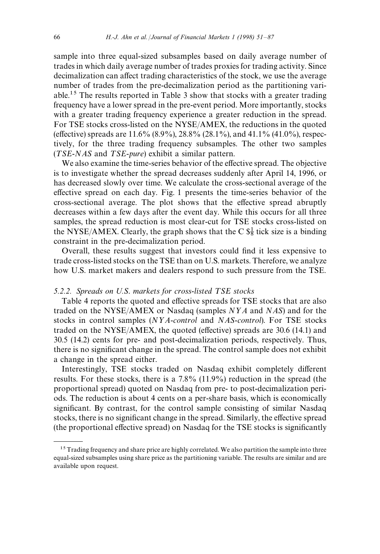sample into three equal-sized subsamples based on daily average number of trades in which daily average number of trades proxies for trading activity. Since decimalization can affect trading characteristics of the stock, we use the average number of trades from the pre-decimalization period as the partitioning variable.15 The results reported in Table 3 show that stocks with a greater trading frequency have a lower spread in the pre-event period. More importantly, stocks with a greater trading frequency experience a greater reduction in the spread. For TSE stocks cross-listed on the NYSE/AMEX, the reductions in the quoted (effective) spreads are  $11.6\%$  (8.9%), 28.8% (28.1%), and 41.1% (41.0%), respectively, for the three trading frequency subsamples. The other two samples (*TSE-NAS* and *TSE-pure*) exhibit a similar pattern.

We also examine the time-series behavior of the effective spread. The objective is to investigate whether the spread decreases suddenly after April 14, 1996, or has decreased slowly over time. We calculate the cross-sectional average of the effective spread on each day. Fig. 1 presents the time-series behavior of the cross-sectional average. The plot shows that the effective spread abruptly decreases within a few days after the event day. While this occurs for all three samples, the spread reduction is most clear-cut for TSE stocks cross-listed on the NYSE/AMEX. Clearly, the graph shows that the C  $\frac{1}{8}$  tick size is a binding constraint in the pre-decimalization period.

Overall, these results suggest that investors could find it less expensive to trade cross-listed stocks on the TSE than on U.S. markets. Therefore, we analyze how U.S. market makers and dealers respond to such pressure from the TSE.

# 5.2.2. Spreads on U.S. markets for cross-listed TSE stocks

Table 4 reports the quoted and effective spreads for TSE stocks that are also traded on the NYSE/AMEX or Nasdaq (samples *N*½*A* and *NAS*) and for the stocks in control samples (*N*½*A*-*control* and *NAS*-*control*). For TSE stocks traded on the NYSE/AMEX, the quoted (effective) spreads are 30.6 (14.1) and 30.5 (14.2) cents for pre- and post-decimalization periods, respectively. Thus, there is no significant change in the spread. The control sample does not exhibit a change in the spread either.

Interestingly, TSE stocks traded on Nasdaq exhibit completely different results. For these stocks, there is a 7.8% (11.9%) reduction in the spread (the proportional spread) quoted on Nasdaq from pre- to post-decimalization periods. The reduction is about 4 cents on a per-share basis, which is economically significant. By contrast, for the control sample consisting of similar Nasdaq stocks, there is no significant change in the spread. Similarly, the effective spread (the proportional effective spread) on Nasdaq for the TSE stocks is significantly

<sup>&</sup>lt;sup>15</sup> Trading frequency and share price are highly correlated. We also partition the sample into three equal-sized subsamples using share price as the partitioning variable. The results are similar and are available upon request.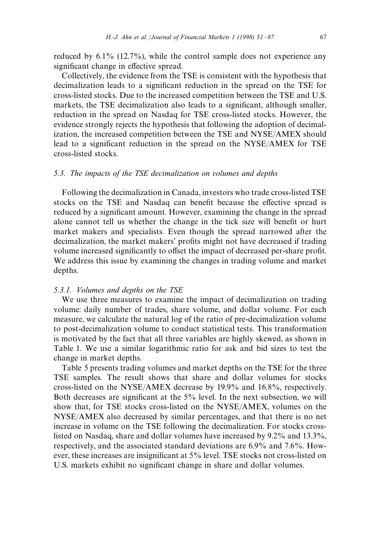reduced by 6.1% (12.7%), while the control sample does not experience any significant change in effective spread.

Collectively, the evidence from the TSE is consistent with the hypothesis that decimalization leads to a significant reduction in the spread on the TSE for cross-listed stocks. Due to the increased competition between the TSE and U.S. markets, the TSE decimalization also leads to a significant, although smaller, reduction in the spread on Nasdaq for TSE cross-listed stocks. However, the evidence strongly rejects the hypothesis that following the adoption of decimalization, the increased competition between the TSE and NYSE/AMEX should lead to a significant reduction in the spread on the NYSE/AMEX for TSE cross-listed stocks.

#### *5.3. The impacts of the TSE decimalization on volumes and depths*

Following the decimalization in Canada, investors who trade cross-listed TSE stocks on the TSE and Nasdaq can benefit because the effective spread is reduced by a significant amount. However, examining the change in the spread alone cannot tell us whether the change in the tick size will benefit or hurt market makers and specialists. Even though the spread narrowed after the decimalization, the market makers' profits might not have decreased if trading volume increased significantly to offset the impact of decreased per-share profit. We address this issue by examining the changes in trading volume and market depths.

#### *5.3.1. Volumes and depths on the TSE*

We use three measures to examine the impact of decimalization on trading volume: daily number of trades, share volume, and dollar volume. For each measure, we calculate the natural log of the ratio of pre-decimalization volume to post-decimalization volume to conduct statistical tests. This transformation is motivated by the fact that all three variables are highly skewed, as shown in Table 1. We use a similar logarithmic ratio for ask and bid sizes to test the change in market depths.

Table 5 presents trading volumes and market depths on the TSE for the three TSE samples. The result shows that share and dollar volumes for stocks cross-listed on the NYSE/AMEX decrease by 19.9% and 16.8%, respectively. Both decreases are significant at the 5% level. In the next subsection, we will show that, for TSE stocks cross-listed on the NYSE/AMEX, volumes on the NYSE/AMEX also decreased by similar percentages, and that there is no net increase in volume on the TSE following the decimalization. For stocks crosslisted on Nasdaq, share and dollar volumes have increased by 9.2% and 13.3%, respectively, and the associated standard deviations are 6.9% and 7.6%. However, these increases are insignificant at 5% level. TSE stocks not cross-listed on U.S. markets exhibit no significant change in share and dollar volumes.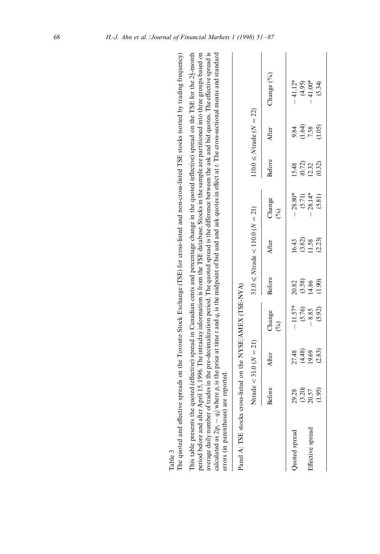| errors (in parentheses) are reported<br>Table 3             |                 |                          |                          |                                |                                               |                     |                 |                                       | average daily number of trades in the pre-decimalization period. The quoted spread is the difference between the ask and bid quotes. The effective spread is<br>This table presents the quoted (effective) spread in Canadian cents and percentage change in the quoted (effective) spread on the TSE for the 2 <sup>4</sup> -month<br>period before and after April 15, 1996. The intraday information is from the TSE database. Stocks in the sample are partitioned into three groups based on<br>calculated as $2 p_1 - q_1 $ where $p_i$ is the price at time t and $q_i$ is the midpoint of bid and and ask quotes in effect at t. The cross-sectional means and standard<br>The quoted and effective spreads on the Toronto Stock Exchange (TSE) for cross-listed and non-cross-listed TSE stocks (sorted by trading frequency) |
|-------------------------------------------------------------|-----------------|--------------------------|--------------------------|--------------------------------|-----------------------------------------------|---------------------|-----------------|---------------------------------------|----------------------------------------------------------------------------------------------------------------------------------------------------------------------------------------------------------------------------------------------------------------------------------------------------------------------------------------------------------------------------------------------------------------------------------------------------------------------------------------------------------------------------------------------------------------------------------------------------------------------------------------------------------------------------------------------------------------------------------------------------------------------------------------------------------------------------------------|
| Panel A: TSE stocks cross-listed on the NYSE/AMEX (TSE-NYA) |                 |                          |                          |                                |                                               |                     |                 |                                       |                                                                                                                                                                                                                                                                                                                                                                                                                                                                                                                                                                                                                                                                                                                                                                                                                                        |
|                                                             |                 | Ntrade < 31.0 $(N = 21)$ |                          |                                | $31.0 \leq N \text{trade} < 110.0 \ (N = 21)$ |                     |                 | $110.0 \leq N \text{trade } (N = 22)$ |                                                                                                                                                                                                                                                                                                                                                                                                                                                                                                                                                                                                                                                                                                                                                                                                                                        |
|                                                             | Before          | After                    | Change<br>$\binom{0}{0}$ | Before                         | After                                         | Change<br>$($ % $)$ | <b>Before</b>   | After                                 | Change (%)                                                                                                                                                                                                                                                                                                                                                                                                                                                                                                                                                                                                                                                                                                                                                                                                                             |
| Quoted spread                                               | (3.20)<br>29.28 | (4.48)<br>27.48          | $-11.57*$<br>(5.76)      | 20.82                          | (3.82)<br>16.43                               | $-28.80*$<br>(5.71) | (0.72)<br>15.48 | (1.64)<br>9.84                        | $-41.12*$<br>(4.95)                                                                                                                                                                                                                                                                                                                                                                                                                                                                                                                                                                                                                                                                                                                                                                                                                    |
| Effective spread                                            | (1.95)<br>20.57 | (2.83)<br>19.69          | (5.92)<br>$-8.85$        | $(3.58)$<br>$(4.86)$<br>(1.90) | (2.23)<br>11.58                               | 28.14*<br>(5.81)    | (0.32)<br>12.32 | (0.05)<br>7.58                        | $-41.00*$<br>(5.34)                                                                                                                                                                                                                                                                                                                                                                                                                                                                                                                                                                                                                                                                                                                                                                                                                    |
|                                                             |                 |                          |                          |                                |                                               |                     |                 |                                       |                                                                                                                                                                                                                                                                                                                                                                                                                                                                                                                                                                                                                                                                                                                                                                                                                                        |

68 *H.-J. Ahn et al.* /*Journal of Financial Markets 1 (1998) 51 —87*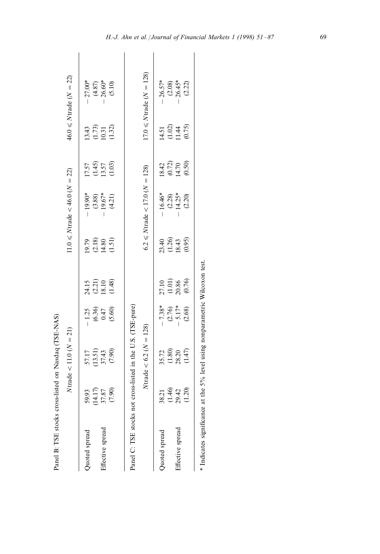|                                                                            |                                     | $N \text{ trade} < 11.0 (N = 21)$   |                                              |                                    |                                     | $11.0 \leq N$ trade < 46.0 ( $N = 22$ )   |                                                               |                                                                                                                                                                                                     | $46.0 \leq N$ trade ( $N = 22$ )             |  |
|----------------------------------------------------------------------------|-------------------------------------|-------------------------------------|----------------------------------------------|------------------------------------|-------------------------------------|-------------------------------------------|---------------------------------------------------------------|-----------------------------------------------------------------------------------------------------------------------------------------------------------------------------------------------------|----------------------------------------------|--|
| Effective spread<br>Quoted spread                                          | 59.93<br>14.17)<br>17.87<br>(7.90)  | 57.17<br>(13.51)<br>37.43<br>(7.90) | $-1.25$<br>(6.36)<br>(6.36)<br>(5.60)        | 24.15<br>(2.21)<br>18.10<br>(1.48) | 19.79<br>(2.18)<br>(1.51)<br>(1.51) | $-19.90*$<br>$(3.88)$<br>19.67*<br>(4.21) | $(1.45)$<br>$(1.03)$<br>17.57                                 | $13.43\n13.31\n13.21\n13.21\n13.21\n13.21\n13.22\n13.23\n14.24\n15.25\n16.26\n17.27\n18.29\n19.20\n19.20\n19.21\n19.22\n19.23\n19.24\n19.25\n19.26\n19.27\n19.29\n19.20\n19.20\n19.21\n19.22\n19.2$ | 27.00*<br>(4.87)<br>26.60*<br>(5.10)         |  |
| Panel C: TSE stocks not cross-listed in the U.S. (TSE-pure)                |                                     | $N$ trade < 6.2 ( $N = 128$ )       |                                              |                                    |                                     | $6.2 \leq N$ trade < 17.0 ( $N = 128$ )   |                                                               |                                                                                                                                                                                                     | $17.0 \leq N$ trade ( $N = 128$ )            |  |
| Effective spread<br>Quoted spread                                          | 38.21<br>(1.46)<br>(1.20)<br>(1.20) | 35.72<br>(1.80)<br>(1.47)<br>(1.47) | $-7.38*$<br>$(2.76)$<br>$-5.17*$<br>$(2.68)$ | 27.10<br>(1.01)<br>20.86<br>(0.76) | 23.40<br>(1.26)<br>18.43<br>(0.95)  | $-16.46*$<br>$(2.28)$<br>14.25*<br>(2.20) | $\begin{array}{c} 18.42 \\ 0.72 \\ 14.50 \\ 0.50 \end{array}$ | $14.5$<br>$1.62$<br>$1.67$<br>$1.67$<br>$1.67$                                                                                                                                                      | $26.57*$<br>$(2.08)$<br>$26.45*$<br>$(2.22)$ |  |
|                                                                            |                                     |                                     |                                              |                                    |                                     |                                           |                                                               |                                                                                                                                                                                                     |                                              |  |
| * Indicates significance at the 5% level using nonparametric Wilcoxon test |                                     |                                     |                                              |                                    |                                     |                                           |                                                               |                                                                                                                                                                                                     |                                              |  |

Panel B: TSE stocks cross-listed on Nasdaq (TSE-NAS)

Panel B: TSE stocks cross-listed on Nasdaq (TSE-NAS)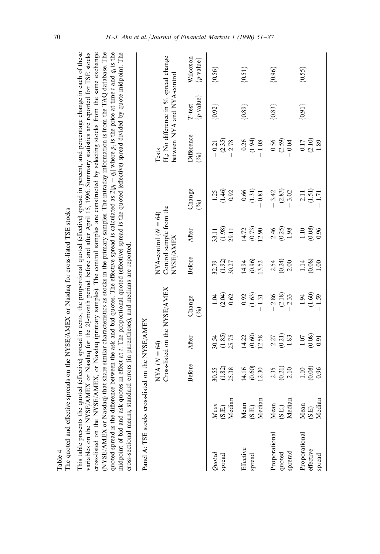| t TOT                                                                          |
|--------------------------------------------------------------------------------|
| The anoted and effective spreads on the NYSE/AMEX or Nasdaq for cross-listed." |
|                                                                                |
|                                                                                |
|                                                                                |
|                                                                                |
|                                                                                |
|                                                                                |
|                                                                                |
|                                                                                |
|                                                                                |
|                                                                                |
|                                                                                |
|                                                                                |

variables on the NYSE/AMEX or Nasdaq for the 23-month period before and after April 15, 1996. Summary statistics are reported for TSE stocks NYSE/AMEX or Nasdaq) that share similar characteristics as stocks in the primary samples. The intraday information is from the TAQ database. The This table presents the quoted (effective) spread in cents, the proportional quoted (effective) spread in percent, and percentage change in each of these This table presents the quoted (effective) spread in cents, the proportional quoted (effective) spread in percent, and percentage change in each of these variables on the NYSE/AMEX or Nasdaq for the 2<sub>2</sub>-month period before and after April 15, 1996. Summary statistics are reported for TSE stocks cross-listed on the NYSE/AMEX, or Nasdaq (primary samples). The control samples are constructed by selecting stocks from the same exchange cross-listed on the NYSE/AMEX, or Nasdaq (primary samples). The control samples are constructed by selecting stocks from the same exchange (NYSE/AMEX or Nasdaq) that share similar characteristics as stocks in the primary samples. The intraday information is from the TAQ database. The quoted spread is the difference between the ask and bid quotes. The effective spread is calculated as  $2|p_1 - q_1|$  where  $p_i$  is the price at time t and  $q_i$  is the quoted spread is the difference between the ask and bid quotes. The effective spread is calculated as 2|*p*<sub>1</sub>  $q_1$  where *p*<sub>1</sub> is the price at time *t* and *q*<sub>5</sub> is the price at time *t* and *q*<sub>5</sub> is the midpoint of bid and ask quotes in effect at t. The proportional quoted (effective) spread is the quoted (effective) spread divided by quote midpoint. The midpoint of bid and ask quotes in effect at *t*. The proportional quoted (effective) spread is the quoted (effective) spread divided by quote midpoint. The cross-sectional means, standard errors (in parentheses), and medians are reported. cross-sectional means, standard errors (in parentheses), and medians are reported.

| Panel A: TSE stocks cross-listed on the NYSE/AMEX |                                       |                               |                            |                               |                            |                                                      |                             |                               |                                                                                  |                               |
|---------------------------------------------------|---------------------------------------|-------------------------------|----------------------------|-------------------------------|----------------------------|------------------------------------------------------|-----------------------------|-------------------------------|----------------------------------------------------------------------------------|-------------------------------|
|                                                   |                                       | $NYA (N = 64)$                |                            | Cross-listed on the NYSE/AMEX | <b>NYSE/AMEX</b>           | Control sample from the<br>$NYA$ -control $(N = 64)$ |                             | Tests                         | H <sub>o</sub> : No difference in % spread change<br>between NYA and NYA-control |                               |
|                                                   |                                       | Before                        | After                      | Change<br>(° <sub>0</sub> )   | Before                     | After                                                | Change<br>(° <sub>0</sub> ) | Difference<br>$\mathcal{S}_0$ | $[p$ -value $]$<br>T-test                                                        | Wilcoxon<br>$\{p$ -value $\}$ |
| Quoted<br>spread                                  | (S.E.)<br>Median<br>Mean              | $(1.82)$<br>25.38<br>30.55    | $(1.85)$<br>25.75<br>30.54 | 13<br>0.62<br>10.62           | $(1.92)$<br>30.27<br>32.79 | $(1.98)$<br>29.11<br>33.11                           | (1.46)<br>0.92<br>1.25      | (2.35)<br>$-2.78$<br>$-0.21$  | (0.92)                                                                           | (0.56)                        |
| Effective<br>spread                               | Median<br>Mean<br>(S.E.)              | $(4.16)$<br>$(0.60)$<br>12.30 | $(0.60)$<br>12.58<br>14.22 | (1.63)<br>0.92<br>1.31        | 14.94<br>(0.96)<br>13.52   | $(0.73)$<br>$(2.90)$<br>14.72                        | (1.31)<br>0.66<br>0.81      | (1.94)<br>0.26<br>$-1.08$     | $\{0.89\}$                                                                       | (0.51)                        |
| Proporational<br>sprerad<br>quoted                | Median<br>Mean<br>$\mathrm{(S.E.)}$   | 235<br>0.210<br>2.10          | $(0.21)$<br>1.83<br>2.27   | (2.18)<br>2.86                | 234<br>0.21<br>2.00        | $2.46$<br>$(0.25)$<br>$1.98$                         | (2.83)<br>3.42<br>3.02      | (2.59)<br>0.56<br>$-0.04$     | (0.83)                                                                           | $\{0.96\}$                    |
| Proporational<br>effective<br>spread              | Median<br>Mean<br>$\left( $ .8\right) | (0.08)<br>1.10<br>0.96        | (0.08)<br>1.07<br>0.91     | (1.60)<br>$-1.59$<br>1.94     | (0.08)<br>1.14<br>1.00     | (0.08)<br>1.10<br>0.96                               | $(1.51)$<br>-1.71<br>2.11   | (2.10)<br>0.17<br>1.89        | $\{0.91\}$                                                                       | (0.55)                        |

 $\overline{1}$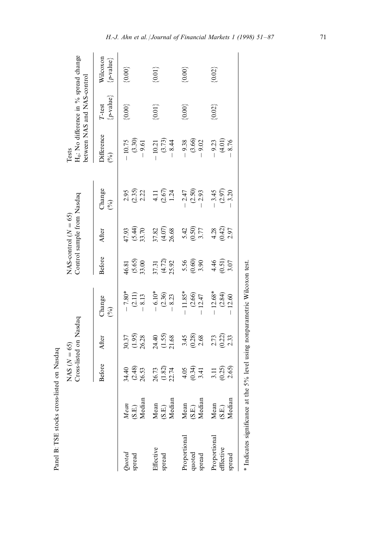|                                                                            |                                     | $NAS (N = 65)$               | Cross-listed on Nasdaq       |                                  |                              | Control sample from Nasdaq<br>$NAS$ -control $(N = 65)$ |                              | Tests                       | H <sub>0</sub> : No difference in % spread change<br>between NAS and NAS-control |                               |
|----------------------------------------------------------------------------|-------------------------------------|------------------------------|------------------------------|----------------------------------|------------------------------|---------------------------------------------------------|------------------------------|-----------------------------|----------------------------------------------------------------------------------|-------------------------------|
|                                                                            |                                     | Before                       | After                        | Change<br>(° <sub>0</sub> )      | Before                       | After                                                   | Change<br>$(\%)$             | <b>Difference</b><br>$(\%)$ | $\{p$ -value $\}$<br>T-test                                                      | Wilcoxon<br>$\{p$ -value $\}$ |
| $\mathcal Q$ uoted<br>spread                                               | (S.E.)<br>Median<br>Mean            | 34.40<br>(2.48)<br>26.53     | $(1.95)$<br>26.28<br>30.37   | $7.80*$<br>$\frac{(2.11)}{8.13}$ | $(5.65)$<br>33.00<br>46.81   | $(5.44)$<br>33.70<br>47.93                              | 295<br>0.32<br>2.22          | (3.30)<br>10.75<br>$-9.61$  | (0.00)                                                                           | $\{0.00\}$                    |
| Effective<br>spread                                                        | Median<br>Mean<br>$\rm (S.E.)$      | 26.73<br>(1.82)<br>22.74     | 24.40<br>(1.55)<br>21.68     | $6.10*$<br>(2.36)                | 37.31<br>(4.72)<br>25.92     | $(4.07)$<br>$26.68$<br>37.82                            | $4.11$<br>$(2.67)$<br>$1.24$ | (3.73)<br>8.44<br>10.21     | $\{0.01\}$                                                                       | $\{0.01\}$                    |
| Proportional<br>quoted<br>spread                                           | Median<br>Mean<br>$\mathrm{(S.E.)}$ | $4.05$<br>$(0.34)$<br>$3.41$ | $3.45$<br>$(0.28)$<br>$2.68$ | $-11.85*$<br>$-12.47$            | $\frac{5.56}{0.60}$          | 5.42<br>0.50)<br>3.77                                   | (2.50)<br>$-2.47$            | (3.66)<br>$-9.38$           | $\{0.00\}$                                                                       | $[0.00]$                      |
| Proportional<br>effiective<br>spread                                       | Median<br>Mean<br>$\mathrm{(S.E.)}$ | $(0.25)$<br>2.65)<br>3.11    | 2.73<br>0.23<br>2.33         | $-12.68*$<br>(2.84)<br>12.60     | $4.46$<br>$(0.51)$<br>$3.07$ | $4.28$<br>$0.42$<br>$2.97$                              | (2.97)<br>$-3.45$<br>3.20    | $-9.23$<br>(4.01)<br>8.76   | $\{0.02\}$                                                                       | $\{0.02\}$                    |
| * Indicates significance at the 5% level using nonparametric Wilcoxon test |                                     |                              |                              |                                  |                              |                                                         |                              |                             |                                                                                  |                               |

Panel B: TSE stocks cross-listed on Nasdaq

Panel B: TSE stocks cross-listed on Nasdaq

*H.-J. Ahn et al.* /*Journal of Financial Markets 1 (1998) 51 —87* 71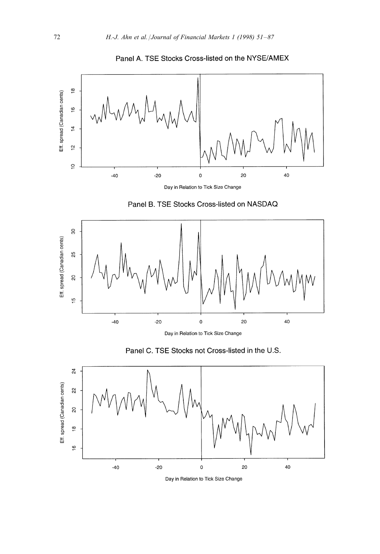





Day in Relation to Tick Size Change





Day in Relation to Tick Size Change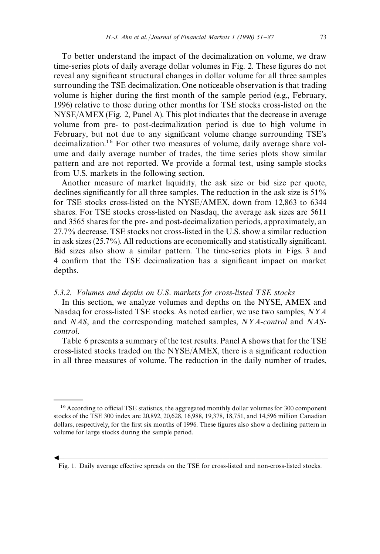To better understand the impact of the decimalization on volume, we draw time-series plots of daily average dollar volumes in Fig. 2. These figures do not reveal any significant structural changes in dollar volume for all three samples surrounding the TSE decimalization. One noticeable observation is that trading volume is higher during the first month of the sample period (e.g., February, 1996) relative to those during other months for TSE stocks cross-listed on the NYSE/AMEX (Fig. 2, Panel A). This plot indicates that the decrease in average volume from pre- to post-decimalization period is due to high volume in February, but not due to any significant volume change surrounding TSE's decimalization.16 For other two measures of volume, daily average share volume and daily average number of trades, the time series plots show similar pattern and are not reported. We provide a formal test, using sample stocks from U.S. markets in the following section.

Another measure of market liquidity, the ask size or bid size per quote, declines significantly for all three samples. The reduction in the ask size is 51% for TSE stocks cross-listed on the NYSE/AMEX, down from 12,863 to 6344 shares. For TSE stocks cross-listed on Nasdaq, the average ask sizes are 5611 and 3565 shares for the pre- and post-decimalization periods, approximately, an 27.7% decrease. TSE stocks not cross-listed in the U.S. show a similar reduction in ask sizes (25.7%). All reductions are economically and statistically significant. Bid sizes also show a similar pattern. The time-series plots in Figs. 3 and 4 confirm that the TSE decimalization has a significant impact on market depths.

# *5.3.2. Volumes and depths on U.S. markets for cross-listed TSE stocks*

In this section, we analyze volumes and depths on the NYSE, AMEX and Nasdaq for cross-listed TSE stocks. As noted earlier, we use two samples, *N*½*A* and *NAS*, and the corresponding matched samples, *N*½*A*-*control* and *NAScontrol*.

Table 6 presents a summary of the test results. Panel A shows that for the TSE cross-listed stocks traded on the NYSE/AMEX, there is a significant reduction in all three measures of volume. The reduction in the daily number of trades,

<sup>&</sup>lt;sup>16</sup> According to official TSE statistics, the aggregated monthly dollar volumes for 300 component stocks of the TSE 300 index are 20,892, 20,628, 16,988, 19,378, 18,751, and 14,596 million Canadian dollars, respectively, for the first six months of 1996. These figures also show a declining pattern in volume for large stocks during the sample period.

b&&&&&&&&&&&&&&&&&&&&&&&&&&&&&&&&&&&&&&&&&& Fig. 1. Daily average effective spreads on the TSE for cross-listed and non-cross-listed stocks.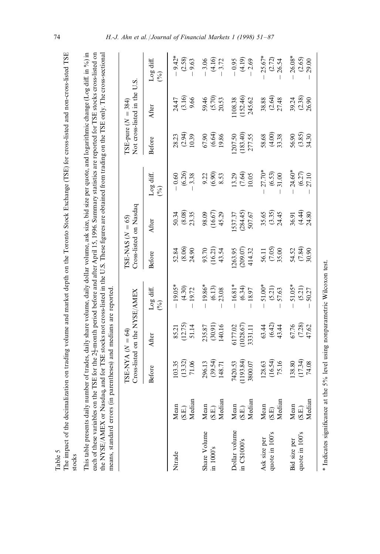Table 5

The impact of the decimalization on trading volume and market depth on the Toronto Stock Exchange (TSE) for cross-listed and non-cross-listed TSE The impact of the decimalization on trading volume and market depth on the Toronto Stock Exchange (TSE) for cross-listed and non-cross-listed TSE stocks This table presents daily number of trades, daily share volume, daily dollar volume, ask size, bid size per quote, and logarithmic change (Log diff. in %) in This table presents daily number of trades, daily share volume, daily dollar volume, ask size, bid size per quote, and logarithmic change (Log diff. in %) in each of these variables on the TSE for the 2<sub>2</sub>-month period before and after April 15, 1996. Summary statistics are reported for TSE stocks cross-listed on each of these variables on the TSE for the  $2\frac{1}{2}$ -month period before and after April 15, 1996. Summary statistics are reported for TSE stocks cross-listed on the NYSE/AMEX or Nasdaq, and for TSE stocks not cross-listed in the U.S. These figures are obtained from trading on the TSE only. The cross-sectional the NYSE/AMEX or Nasdaq, and for TSE stocks not cross-listed in the U.S. These figures are obtained from trading on the TSE only. The cross-sectional means, standard errors (in parentheses) and medians are reported. means, standard errors (in parentheses) and medians are reported.

|                                |                                                | $TSE-NYA (N = 64)$                                            | Cross-listed on the NYSE/AMEX          |                                                                                                                                  | $TSE-NAS(N = 65)$             | Cross-listed on Nasdaq           |                                | $TSE$ -pure $(N = 384)$          | Not cross-listed in the U.S.     |                                  |
|--------------------------------|------------------------------------------------|---------------------------------------------------------------|----------------------------------------|----------------------------------------------------------------------------------------------------------------------------------|-------------------------------|----------------------------------|--------------------------------|----------------------------------|----------------------------------|----------------------------------|
|                                |                                                | Before                                                        | After                                  | $\operatorname*{Log}\operatorname*{diff.}\nolimits_{\left(\begin{smallmatrix} 0 & & \\ & 0 & \\ & & 0 \end{smallmatrix}\right)}$ | Before                        | After                            | Log diff.<br>(° <sub>0</sub> ) | Before                           | After                            | Log diff.<br>$\binom{96}{9}$     |
| Ntrade                         | Mean<br>(S.E.)<br>Median                       | $(13.32)$<br>71.06<br>103.35                                  | 85.21<br>(12.75)<br>51.14              | 19.05*<br>$(4.30)$<br>19.72                                                                                                      | 52.84<br>(8.06)<br>24.90      | 50.34<br>(8.08)<br>23.35         | $(6.26)$<br>$3.38$<br>0.60     | 28.23<br>(2.94)<br>10.39         | $(3.16)$<br>9.66<br>24.47        | $9.42*$<br>(2.58)                |
| Share Volume<br>in 1000's      | Median<br>Mean<br>$\rm (S.E)$                  | 296.13<br>(39.54)<br>148.71                                   | 235.87<br>(30.91)<br>140.16            | 19.86*<br>$(6.13)$<br>23.08                                                                                                      | 93.70<br>(16.21)<br>43.54     | $(16.67)$<br>45.29<br>98.09      | 9.3<br>6.953                   | $67.90$<br>$(6.64)$<br>$19.86$   | 59.46<br>(5.70)<br>20.53         | $3.06$<br>$(4.16)$<br>$3.72$     |
| Dollar volume<br>in C\$1000's  | Median<br>Mean<br>$\mathrm{(S.E.)}$            | $(1193.84)$<br>$3800.07$<br>7420.53                           | $\frac{6177.02}{(1028.67)}$<br>3331.11 | $16.81*$<br>$(6.34)$<br>- 18.97                                                                                                  | 1263.95<br>(209.07)<br>414.32 | $(284.45)$<br>$507.67$<br>537.37 | 13.29<br>(7.64)<br>10.05       | $(183.40)$<br>$277.55$<br>207.50 | $(152.46)$<br>$245.62$<br>108.38 | (4.19)<br>0.95                   |
| quote in 100's<br>Ask size per | Median<br>Mean<br>$\left( \text{S.E}\right)$   | $128.63$<br>$(16.54)$<br>75.16                                | 63.44<br>(6.42)<br>43.44               | $51.00*$<br>$(5.21)$<br>$57.63$                                                                                                  | 56.11<br>(7.05)<br>35.00      | 35.65<br>(3.35)<br>24.45         | 27.70*<br>$(6.53)$<br>31.00    | 58.68<br>(4.00)<br>33.38         | 38.88<br>(2.64)<br>27.48         | $25.67*$<br>$(2.72)$<br>$-26.54$ |
| quote in 100's<br>Bid size per | Median<br>Mean<br>$\left( \text{S.E.} \right)$ | $\begin{array}{c} (138.80) \\ (17.34) \\ (17.34) \end{array}$ | 67.76<br>(7.28)<br>47.62               | 51.05*<br>(5.21)<br>50.27                                                                                                        | 54.52<br>(7.84)<br>30.90      | 36.91<br>(4.44)<br>24.80         | 24.60*<br>$(6.27)$<br>$27.10$  | 56.90<br>(3.85)<br>34.30         | 39.24<br>(2.38)<br>26.90         | 26.08*<br>$(2.65)$<br>29.00      |

<sup>\*</sup> Indicates significance at the 5% level using nonparametric Wilcoxon test. Indicates significance at the 5% level using nonparametric Wilcoxon test.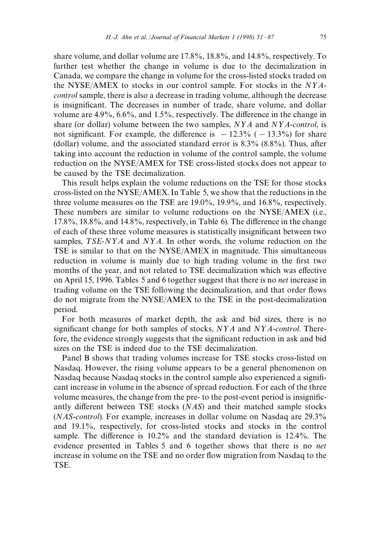share volume, and dollar volume are 17.8%, 18.8%, and 14.8%, respectively. To further test whether the change in volume is due to the decimalization in Canada, we compare the change in volume for the cross-listed stocks traded on the NYSE/AMEX to stocks in our control sample. For stocks in the *N*½*Acontrol* sample, there is also a decrease in trading volume, although the decrease is insignificant. The decreases in number of trade, share volume, and dollar volume are 4.9%, 6.6%, and 1.5%, respectively. The difference in the change in share (or dollar) volume between the two samples, *N*½*A* and *N*½*A*-*control*, is not significant. For example, the difference is  $-12.3\%$  ( $-13.3\%$ ) for share (dollar) volume, and the associated standard error is 8.3% (8.8%). Thus, after taking into account the reduction in volume of the control sample, the volume reduction on the NYSE/AMEX for TSE cross-listed stocks does not appear to be caused by the TSE decimalization.

This result helps explain the volume reductions on the TSE for those stocks cross-listed on the NYSE/AMEX. In Table 5, we show that the reductions in the three volume measures on the TSE are 19.0%, 19.9%, and 16.8%, respectively. These numbers are similar to volume reductions on the NYSE/AMEX (i.e., 17.8%, 18.8%, and 14.8%, respectively, in Table 6). The difference in the change of each of these three volume measures is statistically insignificant between two samples, TSE-NYA and NYA. In other words, the volume reduction on the TSE is similar to that on the NYSE/AMEX in magnitude. This simultaneous reduction in volume is mainly due to high trading volume in the first two months of the year, and not related to TSE decimalization which was effective on April 15, 1996. Tables 5 and 6 together suggest that there is no *net* increase in trading volume on the TSE following the decimalization, and that order flows do not migrate from the NYSE/AMEX to the TSE in the post-decimalization period.

For both measures of market depth, the ask and bid sizes, there is no significant change for both samples of stocks, *N*½*A* and *N*½*A*-*control*. Therefore, the evidence strongly suggests that the significant reduction in ask and bid sizes on the TSE is indeed due to the TSE decimalization.

Panel B shows that trading volumes increase for TSE stocks cross-listed on Nasdaq. However, the rising volume appears to be a general phenomenon on Nasdaq because Nasdaq stocks in the control sample also experienced a significant increase in volume in the absence of spread reduction. For each of the three volume measures, the change from the pre- to the post-event period is insignificantly different between TSE stocks (*NAS*) and their matched sample stocks (*NAS*-*control*). For example, increases in dollar volume on Nasdaq are 29.3% and 19.1%, respectively, for cross-listed stocks and stocks in the control sample. The difference is 10.2% and the standard deviation is 12.4%. The evidence presented in Tables 5 and 6 together shows that there is no *net* increase in volume on the TSE and no order flow migration from Nasdaq to the TSE.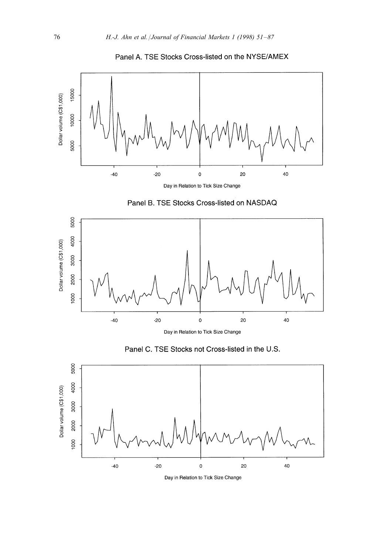







Day in Relation to Tick Size Change





Day in Relation to Tick Size Change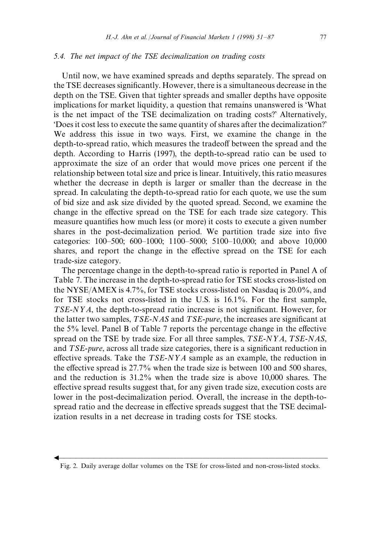#### *5.4. The net impact of the TSE decimalization on trading costs*

Until now, we have examined spreads and depths separately. The spread on the TSE decreases significantly. However, there is a simultaneous decrease in the depth on the TSE. Given that tighter spreads and smaller depths have opposite implications for market liquidity, a question that remains unanswered is 'What is the net impact of the TSE decimalization on trading costs?' Alternatively, 'Does it cost less to execute the same quantity of shares after the decimalization?' We address this issue in two ways. First, we examine the change in the depth-to-spread ratio, which measures the tradeoff between the spread and the depth. According to Harris (1997), the depth-to-spread ratio can be used to approximate the size of an order that would move prices one percent if the relationship between total size and price is linear. Intuitively, this ratio measures whether the decrease in depth is larger or smaller than the decrease in the spread. In calculating the depth-to-spread ratio for each quote, we use the sum of bid size and ask size divided by the quoted spread. Second, we examine the change in the effective spread on the TSE for each trade size category. This measure quantifies how much less (or more) it costs to execute a given number shares in the post-decimalization period. We partition trade size into five categories: 100*—*500; 600*—*1000; 1100*—*5000; 5100*—*10,000; and above 10,000 shares, and report the change in the effective spread on the TSE for each trade-size category.

The percentage change in the depth-to-spread ratio is reported in Panel A of Table 7. The increase in the depth-to-spread ratio for TSE stocks cross-listed on the NYSE/AMEX is 4.7%, for TSE stocks cross-listed on Nasdaq is 20.0%, and for TSE stocks not cross-listed in the U.S. is 16.1%. For the first sample, *TSE-NYA*, the depth-to-spread ratio increase is not significant. However, for the latter two samples, *TSE-NAS* and *TSE-pure*, the increases are significant at the 5% level. Panel B of Table 7 reports the percentage change in the effective spread on the TSE by trade size. For all three samples,  $TSE\text{-}NYA$ ,  $TSE\text{-}NAS$ , and *TSE-pure*, across all trade size categories, there is a significant reduction in effective spreads. Take the *TSE-NYA* sample as an example, the reduction in the effective spread is 27.7% when the trade size is between 100 and 500 shares, and the reduction is 31.2% when the trade size is above 10,000 shares. The effective spread results suggest that, for any given trade size, execution costs are lower in the post-decimalization period. Overall, the increase in the depth-tospread ratio and the decrease in effective spreads suggest that the TSE decimalization results in a net decrease in trading costs for TSE stocks.

b&&&&&&&&&&&&&&&&&&&&&&&&&&&&&&&&&&&&&&&&&& Fig. 2. Daily average dollar volumes on the TSE for cross-listed and non-cross-listed stocks.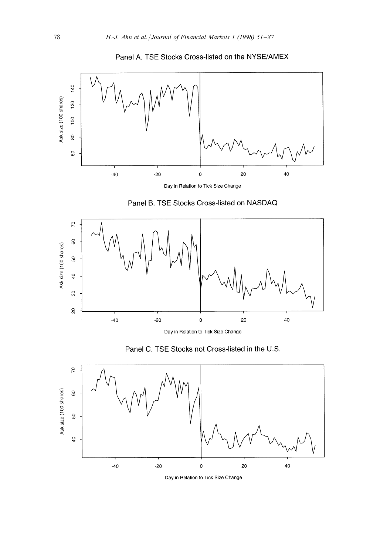







Day in Relation to Tick Size Change





Day in Relation to Tick Size Change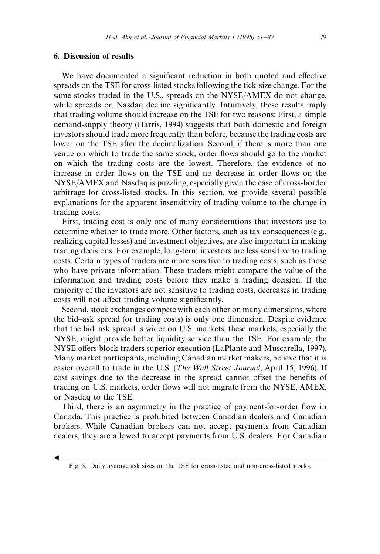#### 6. Discussion of results

We have documented a significant reduction in both quoted and effective spreads on the TSE for cross-listed stocks following the tick-size change. For the same stocks traded in the U.S., spreads on the NYSE/AMEX do not change, while spreads on Nasdaq decline significantly. Intuitively, these results imply that trading volume should increase on the TSE for two reasons: First, a simple demand-supply theory (Harris, 1994) suggests that both domestic and foreign investors should trade more frequently than before, because the trading costs are lower on the TSE after the decimalization. Second, if there is more than one venue on which to trade the same stock, order flows should go to the market on which the trading costs are the lowest. Therefore, the evidence of no increase in order flows on the TSE and no decrease in order flows on the NYSE/AMEX and Nasdaq is puzzling, especially given the ease of cross-border arbitrage for cross-listed stocks. In this section, we provide several possible explanations for the apparent insensitivity of trading volume to the change in trading costs.

First, trading cost is only one of many considerations that investors use to determine whether to trade more. Other factors, such as tax consequences (e.g., realizing capital losses) and investment objectives, are also important in making trading decisions. For example, long-term investors are less sensitive to trading costs. Certain types of traders are more sensitive to trading costs, such as those who have private information. These traders might compare the value of the information and trading costs before they make a trading decision. If the majority of the investors are not sensitive to trading costs, decreases in trading costs will not affect trading volume significantly.

Second, stock exchanges compete with each other on many dimensions, where the bid*—*ask spread (or trading costs) is only one dimension. Despite evidence that the bid*—*ask spread is wider on U.S. markets, these markets, especially the NYSE, might provide better liquidity service than the TSE. For example, the NYSE offers block traders superior execution (LaPlante and Muscarella, 1997). Many market participants, including Canadian market makers, believe that it is easier overall to trade in the U.S. (*The Wall Street Journal*, April 15, 1996). If cost savings due to the decrease in the spread cannot offset the benefits of trading on U.S. markets, order flows will not migrate from the NYSE, AMEX, or Nasdaq to the TSE.

Third, there is an asymmetry in the practice of payment-for-order flow in Canada. This practice is prohibited between Canadian dealers and Canadian brokers. While Canadian brokers can not accept payments from Canadian dealers, they are allowed to accept payments from U.S. dealers. For Canadian

b&&&&&&&&&&&&&&&&&&&&&&&&&&&&&&&&&&&&&&&&&&& Fig. 3. Daily average ask sizes on the TSE for cross-listed and non-cross-listed stocks.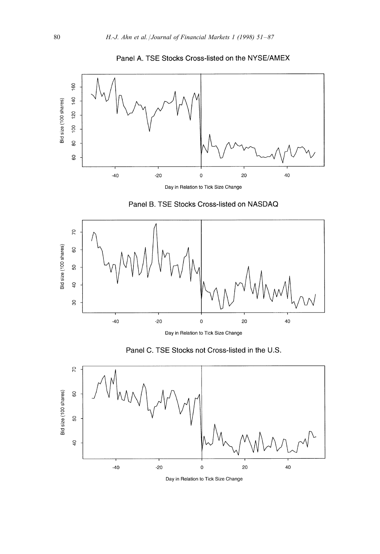

Panel B. TSE Stocks Cross-listed on NASDAQ



Day in Relation to Tick Size Change





Day in Relation to Tick Size Change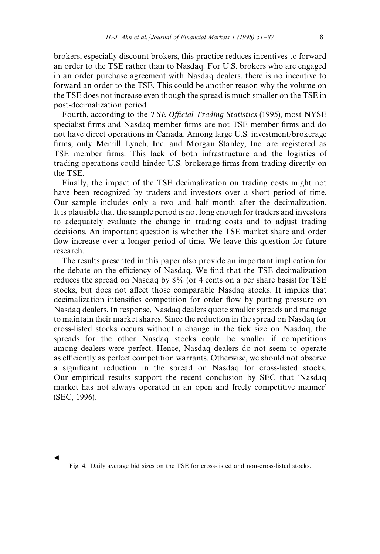brokers, especially discount brokers, this practice reduces incentives to forward an order to the TSE rather than to Nasdaq. For U.S. brokers who are engaged in an order purchase agreement with Nasdaq dealers, there is no incentive to forward an order to the TSE. This could be another reason why the volume on the TSE does not increase even though the spread is much smaller on the TSE in post-decimalization period.

Fourth, according to the TSE Official Trading Statistics (1995), most NYSE specialist firms and Nasdaq member firms are not TSE member firms and do not have direct operations in Canada. Among large U.S. investment/brokerage firms, only Merrill Lynch, Inc. and Morgan Stanley, Inc. are registered as TSE member firms. This lack of both infrastructure and the logistics of trading operations could hinder U.S. brokerage firms from trading directly on the TSE.

Finally, the impact of the TSE decimalization on trading costs might not have been recognized by traders and investors over a short period of time. Our sample includes only a two and half month after the decimalization. It is plausible that the sample period is not long enough for traders and investors to adequately evaluate the change in trading costs and to adjust trading decisions. An important question is whether the TSE market share and order flow increase over a longer period of time. We leave this question for future research.

The results presented in this paper also provide an important implication for the debate on the efficiency of Nasdaq. We find that the TSE decimalization reduces the spread on Nasdaq by 8% (or 4 cents on a per share basis) for TSE stocks, but does not affect those comparable Nasdaq stocks. It implies that decimalization intensifies competition for order flow by putting pressure on Nasdaq dealers. In response, Nasdaq dealers quote smaller spreads and manage to maintain their market shares. Since the reduction in the spread on Nasdaq for cross-listed stocks occurs without a change in the tick size on Nasdaq, the spreads for the other Nasdaq stocks could be smaller if competitions among dealers were perfect. Hence, Nasdaq dealers do not seem to operate as efficiently as perfect competition warrants. Otherwise, we should not observe a significant reduction in the spread on Nasdaq for cross-listed stocks. Our empirical results support the recent conclusion by SEC that 'Nasdaq market has not always operated in an open and freely competitive manner' (SEC, 1996).

b&&&&&&&&&&&&&&&&&&&&&&&&&&&&&&&&&&&&&&&&&& Fig. 4. Daily average bid sizes on the TSE for cross-listed and non-cross-listed stocks.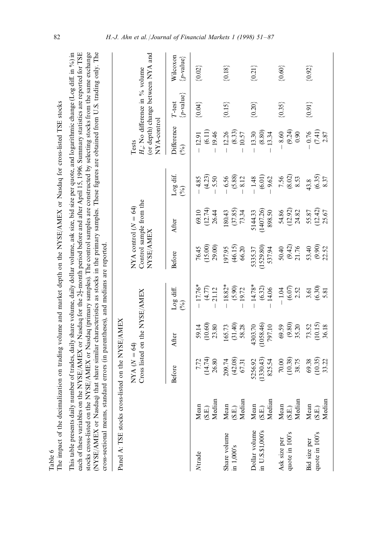|             | ļ                               |
|-------------|---------------------------------|
|             |                                 |
|             |                                 |
|             |                                 |
|             |                                 |
|             |                                 |
|             |                                 |
|             | j                               |
|             |                                 |
|             |                                 |
|             |                                 |
|             | ĺ                               |
|             |                                 |
|             | Į<br>ł                          |
|             |                                 |
|             |                                 |
|             |                                 |
|             |                                 |
|             |                                 |
|             | ;                               |
|             |                                 |
|             | j                               |
|             |                                 |
|             | .<br>.<br>.                     |
|             |                                 |
|             |                                 |
|             |                                 |
|             | $\frac{1}{2}$                   |
|             |                                 |
|             | $-1$ and $-1$ and $-1$ and $-1$ |
|             |                                 |
|             |                                 |
|             |                                 |
|             |                                 |
|             |                                 |
|             |                                 |
|             |                                 |
|             | j                               |
|             | i                               |
| ł           | نمیش دیا<br>$\frac{1}{2}$       |
| ¢<br>ŀ<br>i | Ē                               |

stocks cross-listed on the NYSE/AMEX or Nasdaq (primary samples). The control samples are constructed by selecting stocks from the same exchange (NYSE/AMEX or Nasdaq) that share similar characteristics as stocks in the primary samples. These figures are obtained from U.S. trading only. The each of these variables on the NYSE/AMEX or Nasdaq for the 23-month period before and after April 15, 1996. Summary statistics are reported for TSE This table presents daily number of trades, daily share volume, daily dollar volume, ask size, bid size per quote, and logarithmic change (Log diff. in %) in This table presents daily number of trades, daily share volume, daily dollar volume, ask size, bid size per quote, and logarithmic change (Log diff. in %) in each of these variables on the NYSE/AMEX or Nasdaq for the 23-month period before and after April 15, 1996. Summary statistics are reported for TSE stocks cross-listed on the NYSE/AMEX or Nasdaq (primary samples). The control samples are constructed by selecting stocks from the same exchange (NYSE/AMEX or Nasdaq) that share similar characteristics as stocks in the primary samples. These figures are obtained from U.S. trading only. The cross-sectional means, standard errors (in parentheses), and medians are reported. cross-sectional means, standard errors (in parentheses), and medians are reported.

| ţ<br>١<br>ł                                  |
|----------------------------------------------|
| $\ddot{\phantom{a}}$<br>í                    |
| $\frac{1}{2}$<br>I                           |
| ļ<br>ļ<br>$\ddot{\phantom{0}}$               |
| I<br>i<br>$\overline{\phantom{a}}$<br>I<br>í |
| ļ<br>ì<br>ı                                  |
| ĺ<br>֚֚֬<br> <br> <br> <br>۱<br>ı            |

| Panel A: TSE stocks cross-listed on the NYSE/AMEX |                               |                               |                                |                                 |                               |                                                     |                                                       |                                |                                                                        |                                  |
|---------------------------------------------------|-------------------------------|-------------------------------|--------------------------------|---------------------------------|-------------------------------|-----------------------------------------------------|-------------------------------------------------------|--------------------------------|------------------------------------------------------------------------|----------------------------------|
|                                                   |                               | $NYA (N = 64)$                | Cross listed on the NYSE/AMEX  |                                 | NYSE/AMEX                     | Control sample from the<br>$NYA$ control $(N = 64)$ |                                                       | NYA-control<br>Tests           | (or depth) change between NYA and<br>$H_o$ : No difference in % volume |                                  |
|                                                   |                               | Before                        | After                          | Log diff<br>(%)                 | Before                        | After                                               | Log dif.<br>(° <sub>0</sub> )                         | Difference<br>(2)              | $\{p\text{-value}\}$<br>T-test                                         | Wilcoxon<br>$\{p\text{-value}\}$ |
| Ntrade                                            | Median<br>Mean<br>(S.E.)      | (14.74)<br>7.72<br>26.80      | (10.60)<br>59.14<br>23.80      | 17.76*<br>$(4.77)$<br>21.12     | 29.00)<br>(15.00)<br>76.45    | (12.74)<br>26.44<br>69.10                           | (4.23)<br>4.85<br>5.50                                | $-19.46$<br>$-12.91$           | (0.04)                                                                 | (0.02)                           |
| Share volume<br>in 1,000's                        | Median<br>Mean<br>$\rm (S.E)$ | $(42.08)$<br>67.31<br>209.74  | $(31.40)$<br>$58.28$<br>165.73 | $-18.82*$<br>(5.90)<br>19.72    | (46.15)<br>197.95<br>66.20    | (37.85)<br>180.43<br>73.34                          | (5.88)<br>6.56<br>8.12                                | $-12.26$<br>(8.33)<br>$-10.57$ | (0.15)                                                                 | $\{0.18\}$                       |
| in U.S.\$1,000's<br>Dollar volume                 | Median<br>Mean<br>(S.E.)      | 1330.43)<br>5256.92<br>825.54 | 1058.46)<br>4303.70<br>797.10  | $-14.78*$<br>(6.32)<br>$-14.06$ | 1529.80)<br>5335.37<br>537.94 | 1407.26)<br>5144.33<br>898.50                       | (6.01)<br>9.62<br>$-1.48$                             | (8.80)<br>$-13.30$<br>$-13.34$ | $\{0.20\}$                                                             | (0.21)                           |
| quote in 100's<br>Ask size per                    | Median<br>Mean<br>$(S.E.)$    | (10.38)<br>38.75<br>$70.00$   | (9.80)<br>69.59<br>35.20       | $(6.07)$<br>2.52<br>$-1.04$     | $(9.42)$<br>21.76<br>50.40    | $(12.92)$<br>24.82<br>54.86                         | $\begin{array}{c} (8.02) \\ 8.53 \end{array}$<br>7.56 | (9.24)<br>8.60<br>0.90         | (0.35)                                                                 | (0.60)                           |
| quote in 100's<br>Bid size per                    | Mediar<br>Mean<br>$(S.E.)$    | (10.35)<br>69.38<br>33.22     | (10.15)<br>73.52<br>36.18      | $(6.30)$<br>5.81<br>3.61        | $(9.90)$<br>$22.52$<br>53.40  | $(12.42)$<br>25.67<br>55.87                         | $(6.35)$<br>8.37<br>43.8                              | 0.76<br>$(7.41)$<br>2.87       | $\{16.0\}$                                                             | (0.92)                           |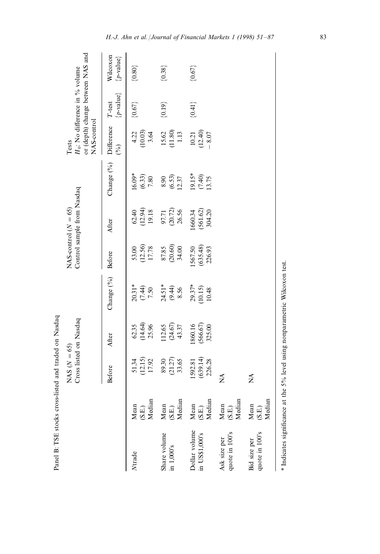|                                 |                                                | Cross listed on Nasdaq<br>$NAS (N = 65)$ |                               |                              | $NAS$ -control $(N = 65)$     | Control sample from Nasdaq    |                             | NAS-control<br>Tests            | or (depth) change between NAS and<br>$H_0$ : No difference in % volume |                               |
|---------------------------------|------------------------------------------------|------------------------------------------|-------------------------------|------------------------------|-------------------------------|-------------------------------|-----------------------------|---------------------------------|------------------------------------------------------------------------|-------------------------------|
|                                 |                                                | Before                                   | After                         | Change (%)                   | Before                        | After                         | Change (%)                  | Difference<br>(° <sub>0</sub> ) | $\{p$ -value $\}$<br>T-test                                            | Wilcoxon<br>$\{p$ -value $\}$ |
| Ntrade                          | Median<br>Mean<br>$\mathrm{(S.E.)}$            | (12.15)<br>51.34<br>17.92                | $(14.64)$<br>25.96<br>62.35   | $20.31*$<br>(7.44)<br>7.50   | (12.56)<br>17.78<br>53.00     | (12.94)<br>19.18<br>62.40     | 16.09*<br>$(6.33)$<br>7.80  | (10.03)<br>3.64<br>4.22         | $\{0.67\}$                                                             | $\{0.80\}$                    |
| Share volume<br>in 1,000's      | Median<br>Mean<br>$(S.E.)$                     | (21.27)<br>89.30<br>33.65                | $(24.67)$<br>43.37<br>112.65  | 24.51*<br>(9.44)<br>8.56     | (20.60)<br>87.85<br>34.00     | (20.72)<br>26.56<br>97.71     | $(6.53)$<br>12.37<br>8.90   | (11.80)<br>15.62<br>1.13        | $\{0.19\}$                                                             | (0.38)                        |
| Dollar volume<br>in US\$1,000's | Median<br>Mean<br>$\rm (S.E)$                  | (639.14)<br>226.28<br>1592.81            | (566.67)<br>1860.16<br>325.00 | $29.37*$<br>(10.15)<br>10.48 | (635.48)<br>1567.50<br>226.93 | (561.62)<br>1660.34<br>304.20 | 19.15*<br>$(7.40)$<br>13.75 | (12.40)<br>$-8.07$<br>10.21     | $\{0.41\}$                                                             | (0.67)                        |
| quote in 100's<br>Ask size per  | Median<br>Mean<br>$(S.E.)$                     | Ź                                        |                               |                              |                               |                               |                             |                                 |                                                                        |                               |
| quote in 100's<br>Bid size per  | Median<br>Mean<br>$\left( \text{S.E.} \right)$ | $\mathbb{X}^{\mathbb{X}}$                |                               |                              |                               |                               |                             |                                 |                                                                        |                               |

Panel B: TSE stocks cross-listed and traded on Nasdaq

Panel B: TSE stocks cross-listed and traded on Nasdaq

\* Indicates significance at the 5% level using nonparametric Wilcoxon test. Indicates significance at the 5% level using nonparametric Wilcoxon test.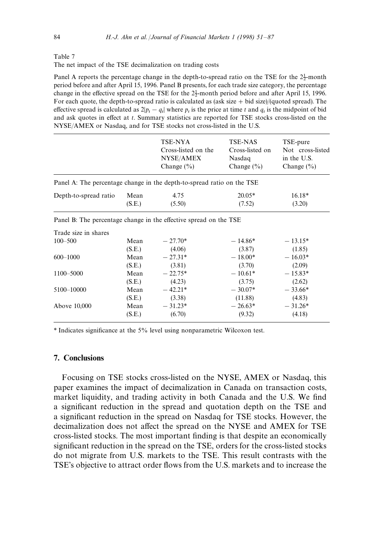#### Table 7

The net impact of the TSE decimalization on trading costs

Panel A reports the percentage change in the depth-to-spread ratio on the TSE for the  $2\frac{1}{2}$ -month period before and after April 15, 1996. Panel B presents, for each trade size category, the percentage change in the effective spread on the TSE for the  $2\frac{1}{2}$ -month period before and after April 15, 1996. For each quote, the depth-to-spread ratio is calculated as (ask size  $+$  bid size)/(quoted spread). The effective spread is calculated as  $2|p_t - q_t|$  where  $p_t$  is the price at time  $t$  and  $q_t$  is the midpoint of bid and ask quotes in effect at *t*. Summary statistics are reported for TSE stocks cross-listed on the NYSE/AMEX or Nasdaq, and for TSE stocks not cross-listed in the U.S.

|                       |                | <b>TSE-NYA</b><br>Cross-listed on the<br>NYSE/AMEX<br>Change $(\% )$   | <b>TSE-NAS</b><br>Cross-listed on<br>Nasdaq<br>Change $(\% )$ | TSE-pure<br>Not cross-listed<br>in the U.S.<br>Change $(\% )$ |
|-----------------------|----------------|------------------------------------------------------------------------|---------------------------------------------------------------|---------------------------------------------------------------|
|                       |                | Panel A: The percentage change in the depth-to-spread ratio on the TSE |                                                               |                                                               |
| Depth-to-spread ratio | Mean<br>(S.E.) | 4.75<br>(5.50)                                                         | $20.05*$<br>(7.52)                                            | 16.18*<br>(3.20)                                              |
|                       |                | Panel B: The percentage change in the effective spread on the TSE      |                                                               |                                                               |
| Trade size in shares  |                |                                                                        |                                                               |                                                               |
| $100 - 500$           | Mean           | $-27.70*$                                                              | $-14.86*$                                                     | $-13.15*$                                                     |
|                       | (S.E.)         | (4.06)                                                                 | (3.87)                                                        | (1.85)                                                        |
| $600 - 1000$          | Mean           | $-27.31*$                                                              | $-18.00*$                                                     | $-16.03*$                                                     |
|                       | (S.E.)         | (3.81)                                                                 | (3.70)                                                        | (2.09)                                                        |
| 1100-5000             | Mean           | $-22.75*$                                                              | $-10.61*$                                                     | $-15.83*$                                                     |
|                       | (S.E.)         | (4.23)                                                                 | (3.75)                                                        | (2.62)                                                        |
| 5100-10000            | Mean           | $-42.21*$                                                              | $-30.07*$                                                     | $-33.66*$                                                     |
|                       | (S.E.)         | (3.38)                                                                 | (11.88)                                                       | (4.83)                                                        |
| Above 10.000          | Mean           | $-31.23*$                                                              | $-26.63*$                                                     | $-31.26*$                                                     |

(S.E.)  $(6.70)$   $(9.32)$   $(4.18)$ 

*\** Indicates significance at the 5% level using nonparametric Wilcoxon test.

# 7. Conclusions

Focusing on TSE stocks cross-listed on the NYSE, AMEX or Nasdaq, this paper examines the impact of decimalization in Canada on transaction costs, market liquidity, and trading activity in both Canada and the U.S. We find a significant reduction in the spread and quotation depth on the TSE and a significant reduction in the spread on Nasdaq for TSE stocks. However, the decimalization does not affect the spread on the NYSE and AMEX for TSE cross-listed stocks. The most important finding is that despite an economically significant reduction in the spread on the TSE, orders for the cross-listed stocks do not migrate from U.S. markets to the TSE. This result contrasts with the TSE's objective to attract order flows from the U.S. markets and to increase the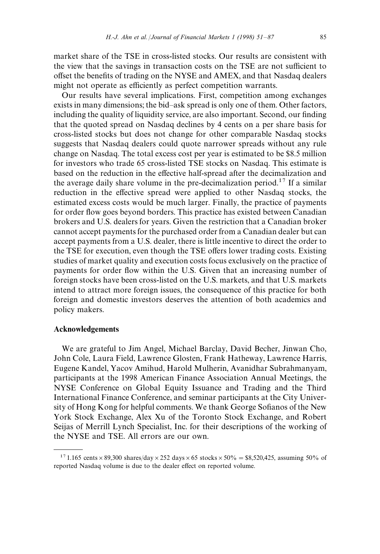market share of the TSE in cross-listed stocks. Our results are consistent with the view that the savings in transaction costs on the TSE are not sufficient to offset the benefits of trading on the NYSE and AMEX, and that Nasdaq dealers might not operate as efficiently as perfect competition warrants.

Our results have several implications. First, competition among exchanges exists in many dimensions; the bid*—*ask spread is only one of them. Other factors, including the quality of liquidity service, are also important. Second, our finding that the quoted spread on Nasdaq declines by 4 cents on a per share basis for cross-listed stocks but does not change for other comparable Nasdaq stocks suggests that Nasdaq dealers could quote narrower spreads without any rule change on Nasdaq. The total excess cost per year is estimated to be \$8.5 million for investors who trade 65 cross-listed TSE stocks on Nasdaq. This estimate is based on the reduction in the effective half-spread after the decimalization and the average daily share volume in the pre-decimalization period.<sup>17</sup> If a similar reduction in the effective spread were applied to other Nasdaq stocks, the estimated excess costs would be much larger. Finally, the practice of payments for order flow goes beyond borders. This practice has existed between Canadian brokers and U.S. dealers for years. Given the restriction that a Canadian broker cannot accept payments for the purchased order from a Canadian dealer but can accept payments from a U.S. dealer, there is little incentive to direct the order to the TSE for execution, even though the TSE offers lower trading costs. Existing studies of market quality and execution costs focus exclusively on the practice of payments for order flow within the U.S. Given that an increasing number of foreign stocks have been cross-listed on the U.S. markets, and that U.S. markets intend to attract more foreign issues, the consequence of this practice for both foreign and domestic investors deserves the attention of both academics and policy makers.

## Acknowledgements

We are grateful to Jim Angel, Michael Barclay, David Becher, Jinwan Cho, John Cole, Laura Field, Lawrence Glosten, Frank Hatheway, Lawrence Harris, Eugene Kandel, Yacov Amihud, Harold Mulherin, Avanidhar Subrahmanyam, participants at the 1998 American Finance Association Annual Meetings, the NYSE Conference on Global Equity Issuance and Trading and the Third International Finance Conference, and seminar participants at the City University of Hong Kong for helpful comments. We thank George Sofianos of the New York Stock Exchange, Alex Xu of the Toronto Stock Exchange, and Robert Seijas of Merrill Lynch Specialist, Inc. for their descriptions of the working of the NYSE and TSE. All errors are our own.

<sup>&</sup>lt;sup>17</sup> 1.165 cents  $\times$  89,300 shares/day  $\times$  252 days  $\times$  65 stocks  $\times$  50% = \$8,520,425, assuming 50% of reported Nasdaq volume is due to the dealer effect on reported volume.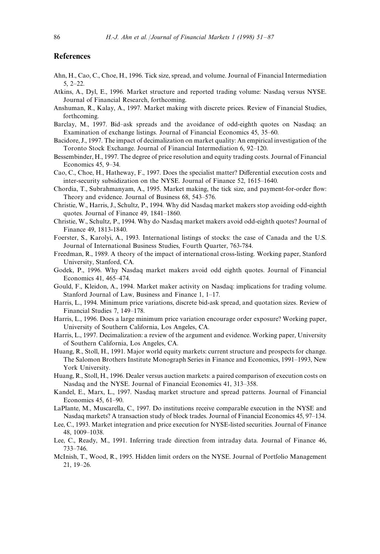# References

- Ahn, H., Cao, C., Choe, H., 1996. Tick size, spread, and volume. Journal of Financial Intermediation 5, 2*—*22.
- Atkins, A., Dyl, E., 1996. Market structure and reported trading volume: Nasdaq versus NYSE. Journal of Financial Research, forthcoming.
- Anshuman, R., Kalay, A., 1997. Market making with discrete prices. Review of Financial Studies, forthcoming.
- Barclay, M., 1997. Bid*—*ask spreads and the avoidance of odd-eighth quotes on Nasdaq: an Examination of exchange listings. Journal of Financial Economics 45, 35*—*60.
- Bacidore, J., 1997. The impact of decimalization on market quality: An empirical investigation of the Toronto Stock Exchange. Journal of Financial Intermediation 6, 92*—*120.
- Bessembinder, H., 1997. The degree of price resolution and equity trading costs. Journal of Financial Economics 45, 9*—*34.
- Cao, C., Choe, H., Hatheway, F., 1997. Does the specialist matter? Differential execution costs and inter-security subsidization on the NYSE. Journal of Finance 52, 1615*—*1640.
- Chordia, T., Subrahmanyam, A., 1995. Market making, the tick size, and payment-for-order flow: Theory and evidence. Journal of Business 68, 543*—*576.
- Christie, W., Harris, J., Schultz, P., 1994. Why did Nasdaq market makers stop avoiding odd-eighth quotes. Journal of Finance 49, 1841*—*1860.
- Christie, W., Schultz, P., 1994. Why do Nasdaq market makers avoid odd-eighth quotes? Journal of Finance 49, 1813-1840.
- Foerster, S., Karolyi, A., 1993. International listings of stocks: the case of Canada and the U.S. Journal of International Business Studies, Fourth Quarter, 763-784.
- Freedman, R., 1989. A theory of the impact of international cross-listing. Working paper, Stanford University, Stanford, CA.
- Godek, P., 1996. Why Nasdaq market makers avoid odd eighth quotes. Journal of Financial Economics 41, 465*—*474.
- Gould, F., Kleidon, A., 1994. Market maker activity on Nasdaq: implications for trading volume. Stanford Journal of Law, Business and Finance 1, 1*—*17.
- Harris, L., 1994. Minimum price variations, discrete bid-ask spread, and quotation sizes. Review of Financial Studies 7, 149*—*178.
- Harris, L., 1996. Does a large minimum price variation encourage order exposure? Working paper, University of Southern California, Los Angeles, CA.
- Harris, L., 1997. Decimalization: a review of the argument and evidence. Working paper, University of Southern California, Los Angeles, CA.
- Huang, R., Stoll, H., 1991. Major world equity markets: current structure and prospects for change. The Salomon Brothers Institute Monograph Series in Finance and Economics, 1991*—*1993, New York University.
- Huang, R., Stoll, H., 1996. Dealer versus auction markets: a paired comparison of execution costs on Nasdaq and the NYSE. Journal of Financial Economics 41, 313*—*358.
- Kandel, E., Marx, L., 1997. Nasdaq market structure and spread patterns. Journal of Financial Economics 45, 61*—*90.
- LaPlante, M., Muscarella, C., 1997. Do institutions receive comparable execution in the NYSE and Nasdaq markets? A transaction study of block trades. Journal of Financial Economics 45, 97*—*134.
- Lee, C., 1993. Market integration and price execution for NYSE-listed securities. Journal of Finance 48, 1009*—*1038.
- Lee, C., Ready, M., 1991. Inferring trade direction from intraday data. Journal of Finance 46, 733*—*746.
- McInish, T., Wood, R., 1995. Hidden limit orders on the NYSE. Journal of Portfolio Management 21, 19*—*26.